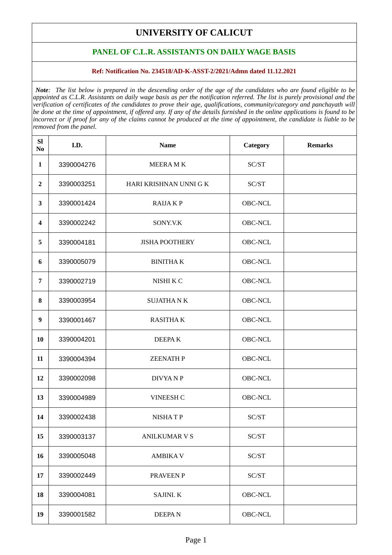## **UNIVERSITY OF CALICUT**

## **PANEL OF C.L.R. ASSISTANTS ON DAILY WAGE BASIS**

## **Ref: Notification No. 234518/AD-K-ASST-2/2021/Admn dated 11.12.2021**

*Note: The list below is prepared in the descending order of the age of the candidates who are found eligible to be appointed as C.L.R. Assistants on daily wage basis as per the notification referred. The list is purely provisional and the verification of certificates of the candidates to prove their age, qualifications, community/category and panchayath will be done at the time of appointment, if offered any. If any of the details furnished in the online applications is found to be incorrect or if proof for any of the claims cannot be produced at the time of appointment, the candidate is liable to be removed from the panel.*

| <b>SI</b><br>No         | I.D.       | <b>Name</b>            | Category | <b>Remarks</b> |
|-------------------------|------------|------------------------|----------|----------------|
| $\mathbf{1}$            | 3390004276 | <b>MEERAMK</b>         | SC/ST    |                |
| $\overline{\mathbf{2}}$ | 3390003251 | HARI KRISHNAN UNNI G K | SC/ST    |                |
| 3                       | 3390001424 | <b>RAIJAKP</b>         | OBC-NCL  |                |
| 4                       | 3390002242 | SONY.V.K               | OBC-NCL  |                |
| 5                       | 3390004181 | <b>JISHA POOTHERY</b>  | OBC-NCL  |                |
| 6                       | 3390005079 | <b>BINITHAK</b>        | OBC-NCL  |                |
| 7                       | 3390002719 | NISHI K C              | OBC-NCL  |                |
| 8                       | 3390003954 | <b>SUJATHANK</b>       | OBC-NCL  |                |
| 9                       | 3390001467 | <b>RASITHAK</b>        | OBC-NCL  |                |
| 10                      | 3390004201 | <b>DEEPAK</b>          | OBC-NCL  |                |
| 11                      | 3390004394 | <b>ZEENATH P</b>       | OBC-NCL  |                |
| 12                      | 3390002098 | <b>DIVYANP</b>         | OBC-NCL  |                |
| 13                      | 3390004989 | VINEESH C              | OBC-NCL  |                |
| 14                      | 3390002438 | <b>NISHATP</b>         | SC/ST    |                |
| 15                      | 3390003137 | <b>ANILKUMAR V S</b>   | SC/ST    |                |
| 16                      | 3390005048 | <b>AMBIKAV</b>         | SC/ST    |                |
| 17                      | 3390002449 | PRAVEEN P              | SC/ST    |                |
| 18                      | 3390004081 | <b>SAJINI. K</b>       | OBC-NCL  |                |
| 19                      | 3390001582 | <b>DEEPAN</b>          | OBC-NCL  |                |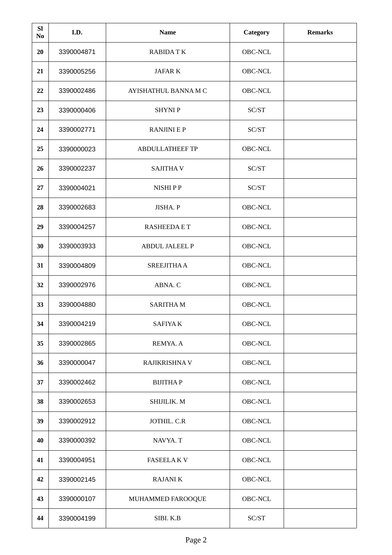| <b>SI</b><br>No | I.D.       | <b>Name</b>            | Category | <b>Remarks</b> |
|-----------------|------------|------------------------|----------|----------------|
| 20              | 3390004871 | <b>RABIDATK</b>        | OBC-NCL  |                |
| 21              | 3390005256 | <b>JAFAR K</b>         | OBC-NCL  |                |
| 22              | 3390002486 | AYISHATHUL BANNA M C   | OBC-NCL  |                |
| 23              | 3390000406 | <b>SHYNIP</b>          | SC/ST    |                |
| 24              | 3390002771 | <b>RANJINI E P</b>     | SC/ST    |                |
| 25              | 3390000023 | <b>ABDULLATHEEF TP</b> | OBC-NCL  |                |
| 26              | 3390002237 | <b>SAJITHAV</b>        | SC/ST    |                |
| 27              | 3390004021 | NISHI P P              | SC/ST    |                |
| 28              | 3390002683 | JISHA. P               | OBC-NCL  |                |
| 29              | 3390004257 | <b>RASHEEDA E T</b>    | OBC-NCL  |                |
| 30              | 3390003933 | <b>ABDUL JALEEL P</b>  | OBC-NCL  |                |
| 31              | 3390004809 | <b>SREEJITHA A</b>     | OBC-NCL  |                |
| 32              | 3390002976 | ABNA. C                | OBC-NCL  |                |
| 33              | 3390004880 | <b>SARITHAM</b>        | OBC-NCL  |                |
| 34              | 3390004219 | <b>SAFIYAK</b>         | OBC-NCL  |                |
| 35              | 3390002865 | REMYA. A               | OBC-NCL  |                |
| 36              | 3390000047 | RAJIKRISHNA V          | OBC-NCL  |                |
| 37              | 3390002462 | <b>BIJITHAP</b>        | OBC-NCL  |                |
| 38              | 3390002653 | SHIJILIK. M            | OBC-NCL  |                |
| 39              | 3390002912 | JOTHIL. C.R            | OBC-NCL  |                |
| 40              | 3390000392 | NAVYA. T               | OBC-NCL  |                |
| 41              | 3390004951 | <b>FASEELAKV</b>       | OBC-NCL  |                |
| 42              | 3390002145 | <b>RAJANIK</b>         | OBC-NCL  |                |
| 43              | 3390000107 | MUHAMMED FAROOQUE      | OBC-NCL  |                |
| 44              | 3390004199 | SIBI. K.B              | SC/ST    |                |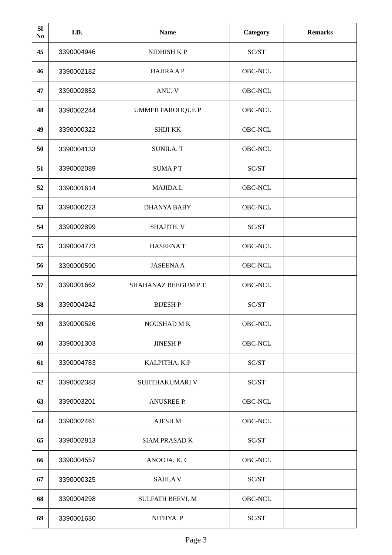| <b>SI</b><br>No | I.D.       | <b>Name</b>             | Category | <b>Remarks</b> |
|-----------------|------------|-------------------------|----------|----------------|
| 45              | 3390004946 | NIDHISH K P             | SC/ST    |                |
| 46              | 3390002182 | <b>HAJIRA A P</b>       | OBC-NCL  |                |
| 47              | 3390002852 | ANU. V                  | OBC-NCL  |                |
| 48              | 3390002244 | <b>UMMER FAROOQUE P</b> | OBC-NCL  |                |
| 49              | 3390000322 | <b>SHIJI KK</b>         | OBC-NCL  |                |
| 50              | 3390004133 | <b>SUNILA. T</b>        | OBC-NCL  |                |
| 51              | 3390002089 | <b>SUMAPT</b>           | SC/ST    |                |
| 52              | 3390001614 | MAJIDA.L                | OBC-NCL  |                |
| 53              | 3390000223 | <b>DHANYA BABY</b>      | OBC-NCL  |                |
| 54              | 3390002899 | SHAJITH. V              | SC/ST    |                |
| 55              | 3390004773 | <b>HASEENAT</b>         | OBC-NCL  |                |
| 56              | 3390000590 | <b>JASEENAA</b>         | OBC-NCL  |                |
| 57              | 3390001662 | SHAHANAZ BEEGUM PT      | OBC-NCL  |                |
| 58              | 3390004242 | <b>BIJESHP</b>          | SC/ST    |                |
| 59              | 3390000526 | NOUSHAD M K             | OBC-NCL  |                |
| 60              | 3390001303 | <b>JINESH P</b>         | OBC-NCL  |                |
| 61              | 3390004783 | KALPITHA. K.P           | SC/ST    |                |
| 62              | 3390002383 | SUJITHAKUMARI V         | SC/ST    |                |
| 63              | 3390003201 | <b>ANUSREE P.</b>       | OBC-NCL  |                |
| 64              | 3390002461 | AJESH M                 | OBC-NCL  |                |
| 65              | 3390002813 | <b>SIAM PRASAD K</b>    | SC/ST    |                |
| 66              | 3390004557 | ANOOJA. K. C            | OBC-NCL  |                |
| 67              | 3390000325 | <b>SAJILAV</b>          | SC/ST    |                |
| 68              | 3390004298 | <b>SULFATH BEEVI. M</b> | OBC-NCL  |                |
| 69              | 3390001630 | NITHYA. P               | SC/ST    |                |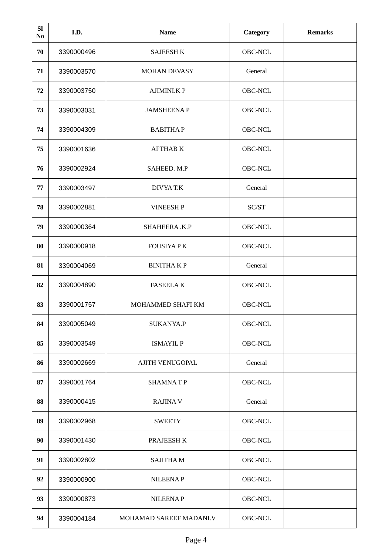| <b>SI</b><br>No | I.D.       | <b>Name</b>             | Category | <b>Remarks</b> |
|-----------------|------------|-------------------------|----------|----------------|
| 70              | 3390000496 | <b>SAJEESH K</b>        | OBC-NCL  |                |
| 71              | 3390003570 | <b>MOHAN DEVASY</b>     | General  |                |
| 72              | 3390003750 | <b>AJIMINI.K P</b>      | OBC-NCL  |                |
| 73              | 3390003031 | <b>JAMSHEENAP</b>       | OBC-NCL  |                |
| 74              | 3390004309 | <b>BABITHAP</b>         | OBC-NCL  |                |
| 75              | 3390001636 | <b>AFTHAB K</b>         | OBC-NCL  |                |
| 76              | 3390002924 | SAHEED. M.P             | OBC-NCL  |                |
| 77              | 3390003497 | <b>DIVYAT.K</b>         | General  |                |
| 78              | 3390002881 | <b>VINEESH P</b>        | SC/ST    |                |
| 79              | 3390000364 | SHAHEERA.K.P            | OBC-NCL  |                |
| 80              | 3390000918 | <b>FOUSIYA PK</b>       | OBC-NCL  |                |
| 81              | 3390004069 | <b>BINITHAKP</b>        | General  |                |
| 82              | 3390004890 | <b>FASEELAK</b>         | OBC-NCL  |                |
| 83              | 3390001757 | MOHAMMED SHAFI KM       | OBC-NCL  |                |
| 84              | 3390005049 | SUKANYA.P               | OBC-NCL  |                |
| 85              | 3390003549 | <b>ISMAYIL P</b>        | OBC-NCL  |                |
| 86              | 3390002669 | <b>AJITH VENUGOPAL</b>  | General  |                |
| 87              | 3390001764 | <b>SHAMNATP</b>         | OBC-NCL  |                |
| 88              | 3390000415 | <b>RAJINA V</b>         | General  |                |
| 89              | 3390002968 | <b>SWEETY</b>           | OBC-NCL  |                |
| 90              | 3390001430 | PRAJEESH K              | OBC-NCL  |                |
| 91              | 3390002802 | <b>SAJITHAM</b>         | OBC-NCL  |                |
| 92              | 3390000900 | <b>NILEENAP</b>         | OBC-NCL  |                |
| 93              | 3390000873 | <b>NILEENAP</b>         | OBC-NCL  |                |
| 94              | 3390004184 | MOHAMAD SAREEF MADANI.V | OBC-NCL  |                |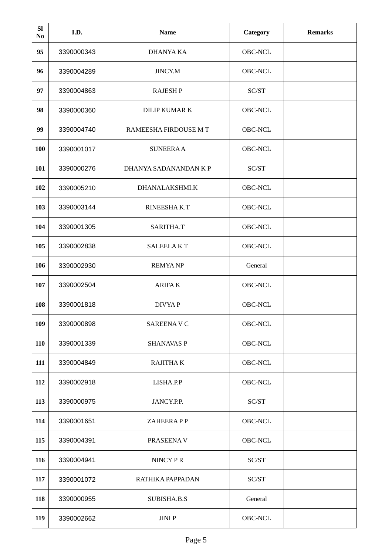| <b>SI</b><br>No | I.D.       | <b>Name</b>           | <b>Category</b> | <b>Remarks</b> |
|-----------------|------------|-----------------------|-----------------|----------------|
| 95              | 3390000343 | DHANYA KA             | OBC-NCL         |                |
| 96              | 3390004289 | JINCY.M               | OBC-NCL         |                |
| 97              | 3390004863 | <b>RAJESH P</b>       | SC/ST           |                |
| 98              | 3390000360 | <b>DILIP KUMAR K</b>  | OBC-NCL         |                |
| 99              | 3390004740 | RAMEESHA FIRDOUSE M T | OBC-NCL         |                |
| 100             | 3390001017 | <b>SUNEERAA</b>       | OBC-NCL         |                |
| 101             | 3390000276 | DHANYA SADANANDAN K P | SC/ST           |                |
| 102             | 3390005210 | DHANALAKSHMI.K        | OBC-NCL         |                |
| 103             | 3390003144 | RINEESHAK.T           | OBC-NCL         |                |
| 104             | 3390001305 | SARITHA.T             | OBC-NCL         |                |
| 105             | 3390002838 | <b>SALEELAKT</b>      | OBC-NCL         |                |
| 106             | 3390002930 | <b>REMYANP</b>        | General         |                |
| 107             | 3390002504 | <b>ARIFAK</b>         | OBC-NCL         |                |
| 108             | 3390001818 | DIVYA P               | OBC-NCL         |                |
| 109             | 3390000898 | <b>SAREENAVC</b>      | OBC-NCL         |                |
| 110             | 3390001339 | <b>SHANAVAS P</b>     | OBC-NCL         |                |
| 111             | 3390004849 | <b>RAJITHAK</b>       | OBC-NCL         |                |
| 112             | 3390002918 | LISHA.P.P             | OBC-NCL         |                |
| 113             | 3390000975 | JANCY.P.P.            | SC/ST           |                |
| 114             | 3390001651 | ZAHEERAPP             | OBC-NCL         |                |
| 115             | 3390004391 | PRASEENA V            | OBC-NCL         |                |
| 116             | 3390004941 | NINCY PR              | SC/ST           |                |
| 117             | 3390001072 | RATHIKA PAPPADAN      | SC/ST           |                |
| 118             | 3390000955 | SUBISHA.B.S           | General         |                |
| 119             | 3390002662 | JINI P                | OBC-NCL         |                |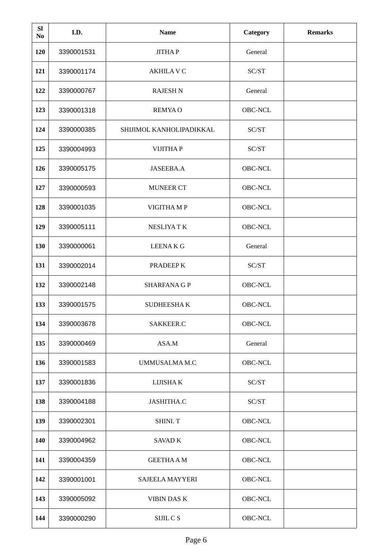| <b>SI</b><br>No | I.D.       | <b>Name</b>              | <b>Category</b> | <b>Remarks</b> |
|-----------------|------------|--------------------------|-----------------|----------------|
| 120             | 3390001531 | <b>JITHAP</b>            | General         |                |
| 121             | 3390001174 | <b>AKHILA V C</b>        | SC/ST           |                |
| 122             | 3390000767 | <b>RAJESH N</b>          | General         |                |
| 123             | 3390001318 | <b>REMYAO</b>            | OBC-NCL         |                |
| 124             | 3390000385 | SHIJIMOL KANHOLIPADIKKAL | SC/ST           |                |
| 125             | 3390004993 | <b>VIJITHAP</b>          | SC/ST           |                |
| 126             | 3390005175 | JASEEBA.A                | OBC-NCL         |                |
| 127             | 3390000593 | <b>MUNEER CT</b>         | OBC-NCL         |                |
| 128             | 3390001035 | VIGITHA MP               | OBC-NCL         |                |
| 129             | 3390005111 | <b>NESLIYATK</b>         | OBC-NCL         |                |
| 130             | 3390000061 | <b>LEENAKG</b>           | General         |                |
| 131             | 3390002014 | PRADEEP K                | SC/ST           |                |
| 132             | 3390002148 | <b>SHARFANA G P</b>      | OBC-NCL         |                |
| 133             | 3390001575 | <b>SUDHEESHAK</b>        | OBC-NCL         |                |
| 134             | 3390003678 | SAKKEER.C                | OBC-NCL         |                |
| 135             | 3390000469 | ASA.M                    | General         |                |
| 136             | 3390001583 | UMMUSALMA M.C            | OBC-NCL         |                |
| 137             | 3390001836 | LIJISHA K                | SC/ST           |                |
| 138             | 3390004188 | JASHITHA.C               | SC/ST           |                |
| 139             | 3390002301 | SHINI. T                 | OBC-NCL         |                |
| 140             | 3390004962 | SAVAD K                  | OBC-NCL         |                |
| 141             | 3390004359 | <b>GEETHA A M</b>        | OBC-NCL         |                |
| 142             | 3390001001 | SAJEELA MAYYERI          | OBC-NCL         |                |
| 143             | 3390005092 | <b>VIBIN DAS K</b>       | OBC-NCL         |                |
| 144             | 3390000290 | SIJIL C S                | OBC-NCL         |                |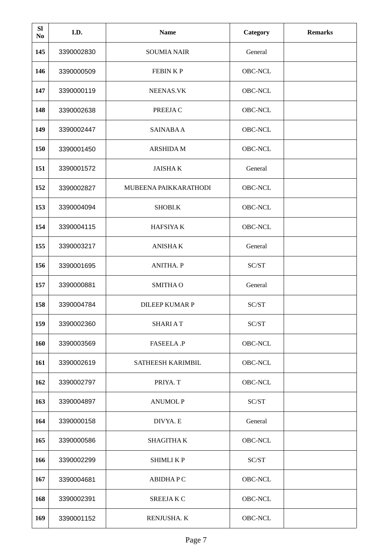| <b>SI</b><br>No | I.D.       | <b>Name</b>           | <b>Category</b> | <b>Remarks</b> |
|-----------------|------------|-----------------------|-----------------|----------------|
| 145             | 3390002830 | <b>SOUMIA NAIR</b>    | General         |                |
| 146             | 3390000509 | <b>FEBINKP</b>        | OBC-NCL         |                |
| 147             | 3390000119 | NEENAS.VK             | OBC-NCL         |                |
| 148             | 3390002638 | PREEJA C              | OBC-NCL         |                |
| 149             | 3390002447 | <b>SAINABA A</b>      | OBC-NCL         |                |
| 150             | 3390001450 | <b>ARSHIDA M</b>      | OBC-NCL         |                |
| 151             | 3390001572 | <b>JAISHAK</b>        | General         |                |
| 152             | 3390002827 | MUBEENA PAIKKARATHODI | OBC-NCL         |                |
| 153             | 3390004094 | SHOBI.K               | OBC-NCL         |                |
| 154             | 3390004115 | <b>HAFSIYAK</b>       | OBC-NCL         |                |
| 155             | 3390003217 | <b>ANISHAK</b>        | General         |                |
| 156             | 3390001695 | <b>ANITHA. P</b>      | SC/ST           |                |
| 157             | 3390000881 | <b>SMITHAO</b>        | General         |                |
| 158             | 3390004784 | <b>DILEEP KUMAR P</b> | SC/ST           |                |
| 159             | 3390002360 | <b>SHARIAT</b>        | SC/ST           |                |
| 160             | 3390003569 | FASEELA.P             | OBC-NCL         |                |
| 161             | 3390002619 | SATHEESH KARIMBIL     | OBC-NCL         |                |
| 162             | 3390002797 | PRIYA. T              | OBC-NCL         |                |
| 163             | 3390004897 | <b>ANUMOL P</b>       | SC/ST           |                |
| 164             | 3390000158 | DIVYA. E              | General         |                |
| 165             | 3390000586 | SHAGITHA K            | OBC-NCL         |                |
| 166             | 3390002299 | SHIMLI K P            | SC/ST           |                |
| 167             | 3390004681 | <b>ABIDHAPC</b>       | OBC-NCL         |                |
| 168             | 3390002391 | SREEJAK C             | OBC-NCL         |                |
| 169             | 3390001152 | RENJUSHA. K           | OBC-NCL         |                |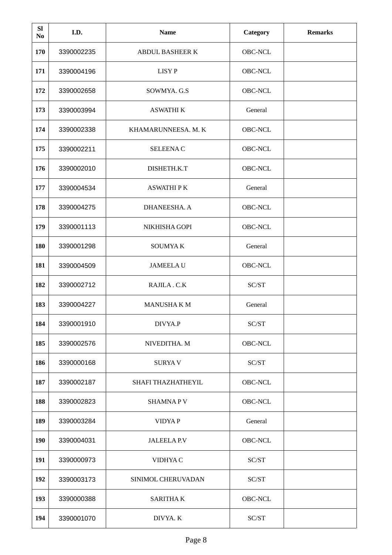| <b>SI</b><br>No | I.D.       | <b>Name</b>            | <b>Category</b> | <b>Remarks</b> |
|-----------------|------------|------------------------|-----------------|----------------|
| 170             | 3390002235 | <b>ABDUL BASHEER K</b> | OBC-NCL         |                |
| 171             | 3390004196 | <b>LISYP</b>           | OBC-NCL         |                |
| 172             | 3390002658 | SOWMYA. G.S            | OBC-NCL         |                |
| 173             | 3390003994 | <b>ASWATHI K</b>       | General         |                |
| 174             | 3390002338 | KHAMARUNNEESA. M. K    | OBC-NCL         |                |
| 175             | 3390002211 | <b>SELEENAC</b>        | OBC-NCL         |                |
| 176             | 3390002010 | DISHETH.K.T            | OBC-NCL         |                |
| 177             | 3390004534 | <b>ASWATHIPK</b>       | General         |                |
| 178             | 3390004275 | DHANEESHA. A           | OBC-NCL         |                |
| 179             | 3390001113 | NIKHISHA GOPI          | OBC-NCL         |                |
| 180             | 3390001298 | <b>SOUMYAK</b>         | General         |                |
| 181             | 3390004509 | <b>JAMEELAU</b>        | OBC-NCL         |                |
| 182             | 3390002712 | RAJILA.C.K             | SC/ST           |                |
| 183             | 3390004227 | <b>MANUSHAKM</b>       | General         |                |
| 184             | 3390001910 | DIVYA.P                | SC/ST           |                |
| 185             | 3390002576 | NIVEDITHA. M           | OBC-NCL         |                |
| 186             | 3390000168 | <b>SURYAV</b>          | SC/ST           |                |
| 187             | 3390002187 | SHAFI THAZHATHEYIL     | OBC-NCL         |                |
| 188             | 3390002823 | <b>SHAMNAPV</b>        | OBC-NCL         |                |
| 189             | 3390003284 | <b>VIDYAP</b>          | General         |                |
| 190             | 3390004031 | JALEELA P.V            | OBC-NCL         |                |
| 191             | 3390000973 | VIDHYA C               | SC/ST           |                |
| 192             | 3390003173 | SINIMOL CHERUVADAN     | SC/ST           |                |
| 193             | 3390000388 | <b>SARITHAK</b>        | OBC-NCL         |                |
| 194             | 3390001070 | DIVYA. K               | SC/ST           |                |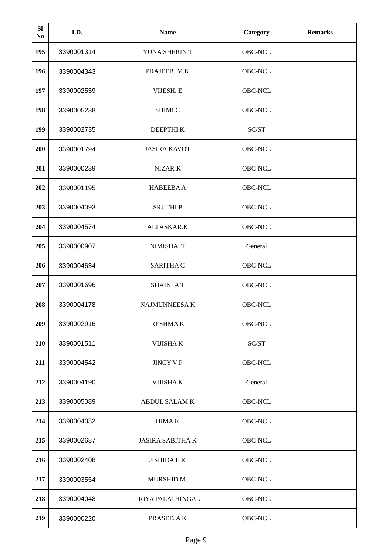| <b>SI</b><br>No | I.D.       | <b>Name</b>             | <b>Category</b> | <b>Remarks</b> |
|-----------------|------------|-------------------------|-----------------|----------------|
| 195             | 3390001314 | YUNA SHERIN T           | OBC-NCL         |                |
| 196             | 3390004343 | PRAJEEB. M.K            | OBC-NCL         |                |
| 197             | 3390002539 | VIJESH. E               | OBC-NCL         |                |
| 198             | 3390005238 | <b>SHIMI C</b>          | OBC-NCL         |                |
| 199             | 3390002735 | DEEPTHIK                | SC/ST           |                |
| 200             | 3390001794 | <b>JASIRA KAVOT</b>     | OBC-NCL         |                |
| 201             | 3390000239 | NIZAR K                 | OBC-NCL         |                |
| 202             | 3390001195 | <b>HABEEBAA</b>         | OBC-NCL         |                |
| 203             | 3390004093 | <b>SRUTHIP</b>          | OBC-NCL         |                |
| 204             | 3390004574 | <b>ALI ASKAR.K</b>      | OBC-NCL         |                |
| 205             | 3390000907 | NIMISHA. T              | General         |                |
| 206             | 3390004634 | <b>SARITHA C</b>        | OBC-NCL         |                |
| 207             | 3390001696 | <b>SHAINIAT</b>         | OBC-NCL         |                |
| 208             | 3390004178 | <b>NAJMUNNEESAK</b>     | OBC-NCL         |                |
| 209             | 3390002916 | <b>RESHMAK</b>          | OBC-NCL         |                |
| 210             | 3390001511 | <b>VIJISHAK</b>         | SC/ST           |                |
| 211             | 3390004542 | <b>JINCY V P</b>        | OBC-NCL         |                |
| 212             | 3390004190 | <b>VIJISHAK</b>         | General         |                |
| 213             | 3390005089 | <b>ABDUL SALAM K</b>    | OBC-NCL         |                |
| 214             | 3390004032 | <b>HIMAK</b>            | OBC-NCL         |                |
| 215             | 3390002687 | <b>JASIRA SABITHA K</b> | OBC-NCL         |                |
| 216             | 3390002408 | <b>JISHIDA E K</b>      | OBC-NCL         |                |
| 217             | 3390003554 | MURSHID M.              | OBC-NCL         |                |
| 218             | 3390004048 | PRIYA PALATHINGAL       | OBC-NCL         |                |
| 219             | 3390000220 | PRASEEJA K              | OBC-NCL         |                |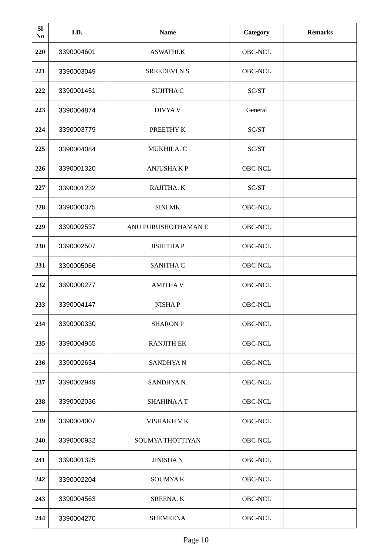| <b>SI</b><br>No | I.D.       | <b>Name</b>         | <b>Category</b> | <b>Remarks</b> |
|-----------------|------------|---------------------|-----------------|----------------|
| 220             | 3390004601 | <b>ASWATHI.K</b>    | OBC-NCL         |                |
| 221             | 3390003049 | <b>SREEDEVINS</b>   | OBC-NCL         |                |
| 222             | 3390001451 | <b>SUJITHA C</b>    | SC/ST           |                |
| 223             | 3390004874 | DIVYA V             | General         |                |
| 224             | 3390003779 | PREETHY K           | SC/ST           |                |
| 225             | 3390004084 | MUKHILA. C          | SC/ST           |                |
| 226             | 3390001320 | <b>ANJUSHAKP</b>    | OBC-NCL         |                |
| 227             | 3390001232 | RAJITHA. K          | SC/ST           |                |
| 228             | 3390000375 | <b>SINI MK</b>      | OBC-NCL         |                |
| 229             | 3390002537 | ANU PURUSHOTHAMAN E | OBC-NCL         |                |
| 230             | 3390002507 | <b>JISHITHAP</b>    | OBC-NCL         |                |
| 231             | 3390005066 | <b>SANITHA C</b>    | OBC-NCL         |                |
| 232             | 3390000277 | <b>AMITHAV</b>      | OBC-NCL         |                |
| 233             | 3390004147 | <b>NISHAP</b>       | OBC-NCL         |                |
| 234             | 3390000330 | <b>SHARON P</b>     | OBC-NCL         |                |
| 235             | 3390004955 | <b>RANJITH EK</b>   | OBC-NCL         |                |
| 236             | 3390002634 | <b>SANDHYAN</b>     | OBC-NCL         |                |
| 237             | 3390002949 | SANDHYA N.          | OBC-NCL         |                |
| 238             | 3390002036 | <b>SHAHINAAT</b>    | OBC-NCL         |                |
| 239             | 3390004007 | VISHAKH V K         | OBC-NCL         |                |
| 240             | 3390000932 | SOUMYA THOTTIYAN    | OBC-NCL         |                |
| 241             | 3390001325 | <b>JINISHAN</b>     | OBC-NCL         |                |
| 242             | 3390002204 | <b>SOUMYAK</b>      | OBC-NCL         |                |
| 243             | 3390004563 | <b>SREENA.K</b>     | OBC-NCL         |                |
| 244             | 3390004270 | <b>SHEMEENA</b>     | OBC-NCL         |                |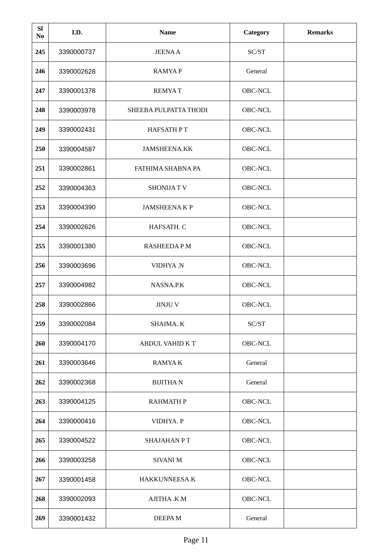| <b>SI</b><br>No | I.D.       | <b>Name</b>            | <b>Category</b> | <b>Remarks</b> |
|-----------------|------------|------------------------|-----------------|----------------|
| 245             | 3390000737 | <b>JEENAA</b>          | SC/ST           |                |
| 246             | 3390002628 | <b>RAMYAP</b>          | General         |                |
| 247             | 3390001378 | <b>REMYAT</b>          | OBC-NCL         |                |
| 248             | 3390003978 | SHEEBA PULPATTA THODI  | OBC-NCL         |                |
| 249             | 3390002431 | <b>HAFSATH PT</b>      | OBC-NCL         |                |
| 250             | 3390004587 | <b>JAMSHEENA.KK</b>    | OBC-NCL         |                |
| 251             | 3390002861 | FATHIMA SHABNA PA      | OBC-NCL         |                |
| 252             | 3390004363 | <b>SHONIJATV</b>       | OBC-NCL         |                |
| 253             | 3390004390 | <b>JAMSHEENAKP</b>     | OBC-NCL         |                |
| 254             | 3390002626 | HAFSATH. C             | OBC-NCL         |                |
| 255             | 3390001380 | <b>RASHEEDAPM</b>      | OBC-NCL         |                |
| 256             | 3390003696 | VIDHYA.N               | <b>OBC-NCL</b>  |                |
| 257             | 3390004982 | NASNA.P.K              | OBC-NCL         |                |
| 258             | 3390002866 | <b>JINJU V</b>         | OBC-NCL         |                |
| 259             | 3390002084 | SHAIMA. K              | SC/ST           |                |
| 260             | 3390004170 | <b>ABDUL VAHID K T</b> | OBC-NCL         |                |
| 261             | 3390003646 | <b>RAMYAK</b>          | General         |                |
| 262             | 3390002368 | <b>BIJITHAN</b>        | General         |                |
| 263             | 3390004125 | <b>RAHMATH P</b>       | OBC-NCL         |                |
| 264             | 3390000416 | VIDHYA. P              | OBC-NCL         |                |
| 265             | 3390004522 | <b>SHAJAHAN PT</b>     | OBC-NCL         |                |
| 266             | 3390003258 | <b>SIVANI M</b>        | OBC-NCL         |                |
| 267             | 3390001458 | HAKKUNNEESA.K          | OBC-NCL         |                |
| 268             | 3390002093 | AJITHA .K.M            | OBC-NCL         |                |
| 269             | 3390001432 | DEEPA M                | General         |                |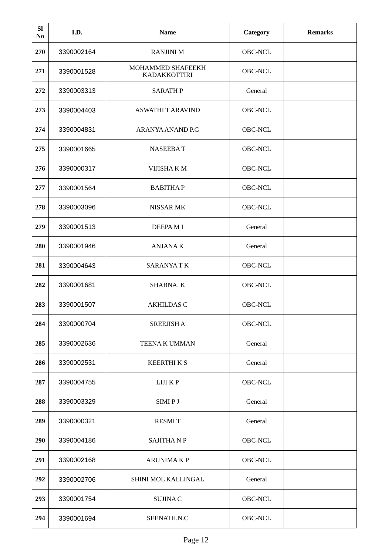| <b>SI</b><br>No | I.D.       | <b>Name</b>                       | Category | <b>Remarks</b> |
|-----------------|------------|-----------------------------------|----------|----------------|
| 270             | 3390002164 | <b>RANJINI M</b>                  | OBC-NCL  |                |
| 271             | 3390001528 | MOHAMMED SHAFEEKH<br>KADAKKOTTIRI | OBC-NCL  |                |
| 272             | 3390003313 | <b>SARATH P</b>                   | General  |                |
| 273             | 3390004403 | <b>ASWATHI T ARAVIND</b>          | OBC-NCL  |                |
| 274             | 3390004831 | ARANYA ANAND P.G                  | OBC-NCL  |                |
| 275             | 3390001665 | <b>NASEEBAT</b>                   | OBC-NCL  |                |
| 276             | 3390000317 | VIJISHA KM                        | OBC-NCL  |                |
| 277             | 3390001564 | <b>BABITHAP</b>                   | OBC-NCL  |                |
| 278             | 3390003096 | <b>NISSAR MK</b>                  | OBC-NCL  |                |
| 279             | 3390001513 | <b>DEEPAMI</b>                    | General  |                |
| 280             | 3390001946 | <b>ANJANAK</b>                    | General  |                |
| 281             | 3390004643 | <b>SARANYATK</b>                  | OBC-NCL  |                |
| 282             | 3390001681 | SHABNA. K                         | OBC-NCL  |                |
| 283             | 3390001507 | <b>AKHILDAS C</b>                 | OBC-NCL  |                |
| 284             | 3390000704 | <b>SREEJISH A</b>                 | OBC-NCL  |                |
| 285             | 3390002636 | <b>TEENA K UMMAN</b>              | General  |                |
| 286             | 3390002531 | <b>KEERTHIKS</b>                  | General  |                |
| 287             | 3390004755 | LIJI K P                          | OBC-NCL  |                |
| 288             | 3390003329 | SIMI P J                          | General  |                |
| 289             | 3390000321 | <b>RESMIT</b>                     | General  |                |
| 290             | 3390004186 | <b>SAJITHANP</b>                  | OBC-NCL  |                |
| 291             | 3390002168 | <b>ARUNIMAKP</b>                  | OBC-NCL  |                |
| 292             | 3390002706 | SHINI MOL KALLINGAL               | General  |                |
| 293             | 3390001754 | <b>SUJINAC</b>                    | OBC-NCL  |                |
| 294             | 3390001694 | SEENATH.N.C                       | OBC-NCL  |                |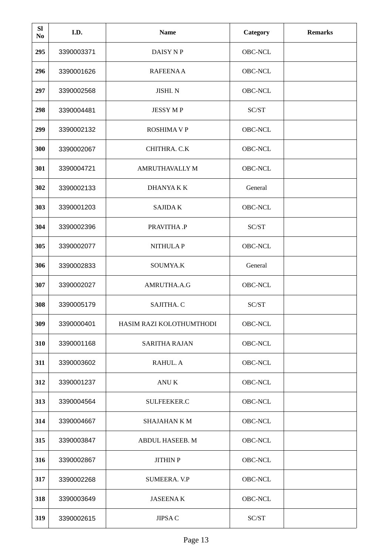| <b>SI</b><br>N <sub>0</sub> | I.D.       | <b>Name</b>              | Category | <b>Remarks</b> |
|-----------------------------|------------|--------------------------|----------|----------------|
| 295                         | 3390003371 | DAISY N P                | OBC-NCL  |                |
| 296                         | 3390001626 | RAFEENA A                | OBC-NCL  |                |
| 297                         | 3390002568 | JISHI. N                 | OBC-NCL  |                |
| 298                         | 3390004481 | <b>JESSYMP</b>           | SC/ST    |                |
| 299                         | 3390002132 | <b>ROSHIMA V P</b>       | OBC-NCL  |                |
| 300                         | 3390002067 | CHITHRA. C.K             | OBC-NCL  |                |
| 301                         | 3390004721 | <b>AMRUTHAVALLY M</b>    | OBC-NCL  |                |
| 302                         | 3390002133 | <b>DHANYAKK</b>          | General  |                |
| 303                         | 3390001203 | <b>SAJIDAK</b>           | OBC-NCL  |                |
| 304                         | 3390002396 | PRAVITHA.P               | SC/ST    |                |
| 305                         | 3390002077 | <b>NITHULAP</b>          | OBC-NCL  |                |
| 306                         | 3390002833 | SOUMYA.K                 | General  |                |
| 307                         | 3390002027 | AMRUTHA.A.G              | OBC-NCL  |                |
| 308                         | 3390005179 | SAJITHA. C               | SC/ST    |                |
| 309                         | 3390000401 | HASIM RAZI KOLOTHUMTHODI | OBC-NCL  |                |
| 310                         | 3390001168 | <b>SARITHA RAJAN</b>     | OBC-NCL  |                |
| 311                         | 3390003602 | RAHUL. A                 | OBC-NCL  |                |
| 312                         | 3390001237 | ANU K                    | OBC-NCL  |                |
| 313                         | 3390004564 | SULFEEKER.C              | OBC-NCL  |                |
| 314                         | 3390004667 | SHAJAHAN K M             | OBC-NCL  |                |
| 315                         | 3390003847 | ABDUL HASEEB. M          | OBC-NCL  |                |
| 316                         | 3390002867 | <b>JITHIN P</b>          | OBC-NCL  |                |
| 317                         | 3390002268 | SUMEERA. V.P             | OBC-NCL  |                |
| 318                         | 3390003649 | <b>JASEENAK</b>          | OBC-NCL  |                |
| 319                         | 3390002615 | JIPSA C                  | SC/ST    |                |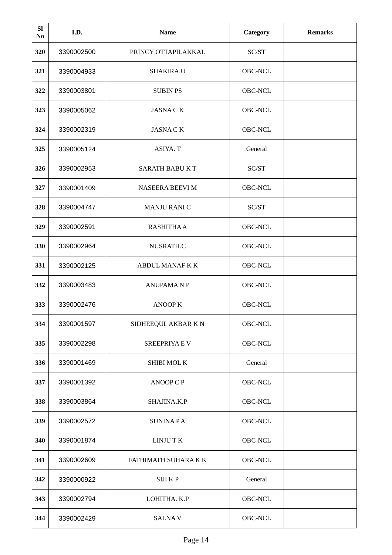| <b>SI</b><br>No | I.D.       | <b>Name</b>            | Category       | <b>Remarks</b> |
|-----------------|------------|------------------------|----------------|----------------|
| 320             | 3390002500 | PRINCY OTTAPILAKKAL    | SC/ST          |                |
| 321             | 3390004933 | SHAKIRA.U              | OBC-NCL        |                |
| 322             | 3390003801 | <b>SUBIN PS</b>        | OBC-NCL        |                |
| 323             | 3390005062 | <b>JASNACK</b>         | OBC-NCL        |                |
| 324             | 3390002319 | <b>JASNACK</b>         | OBC-NCL        |                |
| 325             | 3390005124 | ASIYA. T               | General        |                |
| 326             | 3390002953 | SARATH BABU K T        | SC/ST          |                |
| 327             | 3390001409 | <b>NASEERA BEEVI M</b> | OBC-NCL        |                |
| 328             | 3390004747 | <b>MANJU RANI C</b>    | SC/ST          |                |
| 329             | 3390002591 | <b>RASHITHA A</b>      | OBC-NCL        |                |
| 330             | 3390002964 | NUSRATH.C              | OBC-NCL        |                |
| 331             | 3390002125 | <b>ABDUL MANAF K K</b> | <b>OBC-NCL</b> |                |
| 332             | 3390003483 | <b>ANUPAMANP</b>       | OBC-NCL        |                |
| 333             | 3390002476 | <b>ANOOP K</b>         | OBC-NCL        |                |
| 334             | 3390001597 | SIDHEEQUL AKBAR KN     | OBC-NCL        |                |
| 335             | 3390002298 | <b>SREEPRIYA E V</b>   | OBC-NCL        |                |
| 336             | 3390001469 | SHIBI MOLK             | General        |                |
| 337             | 3390001392 | <b>ANOOP C P</b>       | OBC-NCL        |                |
| 338             | 3390003864 | SHAJINA.K.P            | OBC-NCL        |                |
| 339             | 3390002572 | <b>SUNINAPA</b>        | OBC-NCL        |                |
| 340             | 3390001874 | LINJU T K              | OBC-NCL        |                |
| 341             | 3390002609 | FATHIMATH SUHARA K K   | OBC-NCL        |                |
| 342             | 3390000922 | SIJI KP                | General        |                |
| 343             | 3390002794 | LOHITHA. K.P           | OBC-NCL        |                |
| 344             | 3390002429 | <b>SALNAV</b>          | OBC-NCL        |                |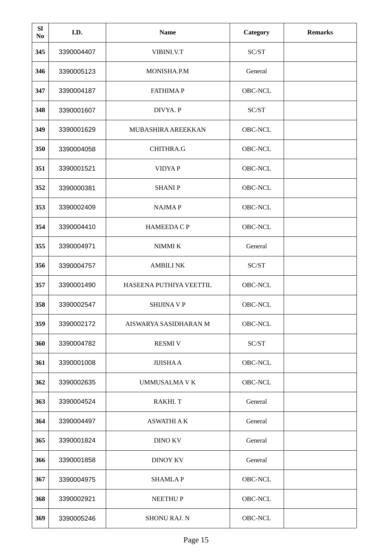| <b>SI</b><br>No | I.D.       | <b>Name</b>             | <b>Category</b> | <b>Remarks</b> |
|-----------------|------------|-------------------------|-----------------|----------------|
| 345             | 3390004407 | VIBINI.V.T              | SC/ST           |                |
| 346             | 3390005123 | <b>MONISHA.P.M</b>      | General         |                |
| 347             | 3390004187 | <b>FATHIMAP</b>         | OBC-NCL         |                |
| 348             | 3390001607 | DIVYA. P                | SC/ST           |                |
| 349             | 3390001629 | MUBASHIRA AREEKKAN      | OBC-NCL         |                |
| 350             | 3390004058 | CHITHRA.G               | OBC-NCL         |                |
| 351             | 3390001521 | <b>VIDYAP</b>           | OBC-NCL         |                |
| 352             | 3390000381 | <b>SHANIP</b>           | OBC-NCL         |                |
| 353             | 3390002409 | <b>NAJMAP</b>           | OBC-NCL         |                |
| 354             | 3390004410 | <b>HAMEEDA C P</b>      | OBC-NCL         |                |
| 355             | 3390004971 | NIMMI K                 | General         |                |
| 356             | 3390004757 | <b>AMBILINK</b>         | SC/ST           |                |
| 357             | 3390001490 | HASEENA PUTHIYA VEETTIL | OBC-NCL         |                |
| 358             | 3390002547 | <b>SHIJINA V P</b>      | OBC-NCL         |                |
| 359             | 3390002172 | AISWARYA SASIDHARAN M   | OBC-NCL         |                |
| 360             | 3390004782 | <b>RESMIV</b>           | SC/ST           |                |
| 361             | 3390001008 | <b>JIJISHA A</b>        | OBC-NCL         |                |
| 362             | 3390002635 | UMMUSALMA V K           | OBC-NCL         |                |
| 363             | 3390004524 | RAKHI. T                | General         |                |
| 364             | 3390004497 | <b>ASWATHI A K</b>      | General         |                |
| 365             | 3390001824 | DINO KV                 | General         |                |
| 366             | 3390001858 | <b>DINOY KV</b>         | General         |                |
| 367             | 3390004975 | <b>SHAMLAP</b>          | OBC-NCL         |                |
| 368             | 3390002921 | <b>NEETHUP</b>          | OBC-NCL         |                |
| 369             | 3390005246 | <b>SHONU RAJ. N</b>     | OBC-NCL         |                |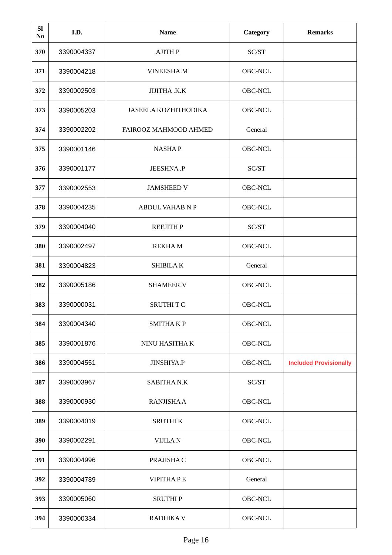| <b>SI</b><br>No | I.D.       | <b>Name</b>                 | <b>Category</b> | <b>Remarks</b>                |
|-----------------|------------|-----------------------------|-----------------|-------------------------------|
| 370             | 3390004337 | <b>AJITH P</b>              | SC/ST           |                               |
| 371             | 3390004218 | VINEESHA.M                  | OBC-NCL         |                               |
| 372             | 3390002503 | JIJITHA .K.K                | OBC-NCL         |                               |
| 373             | 3390005203 | <b>JASEELA KOZHITHODIKA</b> | OBC-NCL         |                               |
| 374             | 3390002202 | FAIROOZ MAHMOOD AHMED       | General         |                               |
| 375             | 3390001146 | <b>NASHAP</b>               | OBC-NCL         |                               |
| 376             | 3390001177 | JEESHNA.P                   | SC/ST           |                               |
| 377             | 3390002553 | <b>JAMSHEED V</b>           | OBC-NCL         |                               |
| 378             | 3390004235 | <b>ABDUL VAHAB N P</b>      | OBC-NCL         |                               |
| 379             | 3390004040 | <b>REEJITH P</b>            | SC/ST           |                               |
| 380             | 3390002497 | <b>REKHAM</b>               | OBC-NCL         |                               |
| 381             | 3390004823 | <b>SHIBILAK</b>             | General         |                               |
| 382             | 3390005186 | SHAMEER.V                   | OBC-NCL         |                               |
| 383             | 3390000031 | <b>SRUTHITC</b>             | OBC-NCL         |                               |
| 384             | 3390004340 | <b>SMITHAKP</b>             | OBC-NCL         |                               |
| 385             | 3390001876 | NINU HASITHA K              | OBC-NCL         |                               |
| 386             | 3390004551 | JINSHIYA.P                  | OBC-NCL         | <b>Included Provisionally</b> |
| 387             | 3390003967 | <b>SABITHA N.K</b>          | SC/ST           |                               |
| 388             | 3390000930 | <b>RANJISHA A</b>           | OBC-NCL         |                               |
| 389             | 3390004019 | <b>SRUTHIK</b>              | OBC-NCL         |                               |
| 390             | 3390002291 | <b>VIJILAN</b>              | OBC-NCL         |                               |
| 391             | 3390004996 | PRAJISHA C                  | OBC-NCL         |                               |
| 392             | 3390004789 | <b>VIPITHAPE</b>            | General         |                               |
| 393             | 3390005060 | <b>SRUTHIP</b>              | OBC-NCL         |                               |
| 394             | 3390000334 | <b>RADHIKA V</b>            | OBC-NCL         |                               |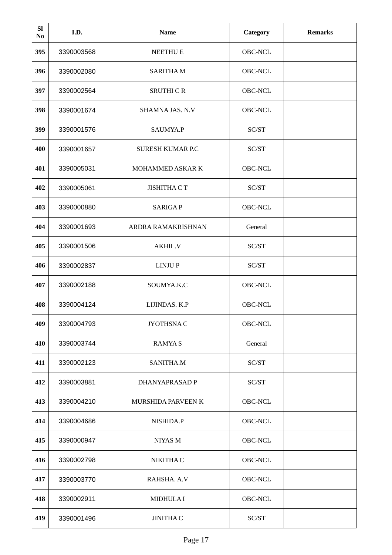| <b>SI</b><br>No | I.D.       | <b>Name</b>              | <b>Category</b> | <b>Remarks</b> |
|-----------------|------------|--------------------------|-----------------|----------------|
| 395             | 3390003568 | <b>NEETHUE</b>           | OBC-NCL         |                |
| 396             | 3390002080 | <b>SARITHAM</b>          | OBC-NCL         |                |
| 397             | 3390002564 | <b>SRUTHI C R</b>        | OBC-NCL         |                |
| 398             | 3390001674 | SHAMNA JAS. N.V          | OBC-NCL         |                |
| 399             | 3390001576 | SAUMYA.P                 | SC/ST           |                |
| 400             | 3390001657 | <b>SURESH KUMAR P.C.</b> | SC/ST           |                |
| 401             | 3390005031 | MOHAMMED ASKAR K         | OBC-NCL         |                |
| 402             | 3390005061 | <b>JISHITHA CT</b>       | SC/ST           |                |
| 403             | 3390000880 | <b>SARIGAP</b>           | OBC-NCL         |                |
| 404             | 3390001693 | ARDRA RAMAKRISHNAN       | General         |                |
| 405             | 3390001506 | <b>AKHIL.V</b>           | SC/ST           |                |
| 406             | 3390002837 | <b>LINJUP</b>            | SC/ST           |                |
| 407             | 3390002188 | SOUMYA.K.C               | OBC-NCL         |                |
| 408             | 3390004124 | LIJINDAS. K.P            | OBC-NCL         |                |
| 409             | 3390004793 | JYOTHSNAC                | OBC-NCL         |                |
| 410             | 3390003744 | <b>RAMYAS</b>            | General         |                |
| 411             | 3390002123 | SANITHA.M                | SC/ST           |                |
| 412             | 3390003881 | <b>DHANYAPRASAD P</b>    | SC/ST           |                |
| 413             | 3390004210 | MURSHIDA PARVEEN K       | OBC-NCL         |                |
| 414             | 3390004686 | NISHIDA.P                | OBC-NCL         |                |
| 415             | 3390000947 | NIYAS M                  | OBC-NCL         |                |
| 416             | 3390002798 | NIKITHA C                | OBC-NCL         |                |
| 417             | 3390003770 | RAHSHA. A.V              | OBC-NCL         |                |
| 418             | 3390002911 | <b>MIDHULAI</b>          | OBC-NCL         |                |
| 419             | 3390001496 | <b>JINITHA C</b>         | SC/ST           |                |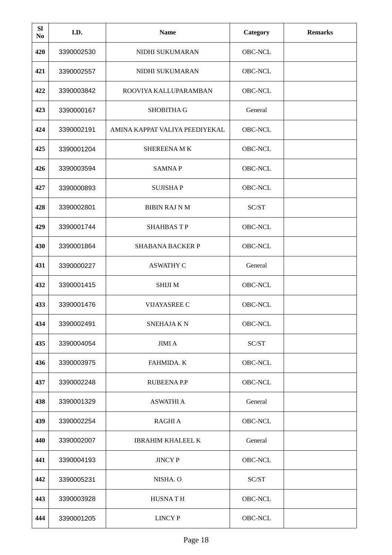| <b>SI</b><br>N <sub>0</sub> | I.D.       | <b>Name</b>                    | <b>Category</b> | <b>Remarks</b> |
|-----------------------------|------------|--------------------------------|-----------------|----------------|
| 420                         | 3390002530 | NIDHI SUKUMARAN                | OBC-NCL         |                |
| 421                         | 3390002557 | NIDHI SUKUMARAN                | OBC-NCL         |                |
| 422                         | 3390003842 | ROOVIYA KALLUPARAMBAN          | OBC-NCL         |                |
| 423                         | 3390000167 | <b>SHOBITHA G</b>              | General         |                |
| 424                         | 3390002191 | AMINA KAPPAT VALIYA PEEDIYEKAL | <b>OBC-NCL</b>  |                |
| 425                         | 3390001204 | <b>SHEREENAMK</b>              | OBC-NCL         |                |
| 426                         | 3390003594 | <b>SAMNAP</b>                  | <b>OBC-NCL</b>  |                |
| 427                         | 3390000893 | <b>SUJISHAP</b>                | OBC-NCL         |                |
| 428                         | 3390002801 | <b>BIBIN RAJ N M</b>           | SC/ST           |                |
| 429                         | 3390001744 | <b>SHAHBASTP</b>               | OBC-NCL         |                |
| 430                         | 3390001864 | <b>SHABANA BACKER P</b>        | OBC-NCL         |                |
| 431                         | 3390000227 | <b>ASWATHY C</b>               | General         |                |
| 432                         | 3390001415 | <b>SHIJIM</b>                  | OBC-NCL         |                |
| 433                         | 3390001476 | VIJAYASREE C                   | OBC-NCL         |                |
| 434                         | 3390002491 | <b>SNEHAJAKN</b>               | OBC-NCL         |                |
| 435                         | 3390004054 | JIMI A                         | SC/ST           |                |
| 436                         | 3390003975 | <b>FAHMIDA. K</b>              | OBC-NCL         |                |
| 437                         | 3390002248 | <b>RUBEENA P.P</b>             | OBC-NCL         |                |
| 438                         | 3390001329 | <b>ASWATHI A</b>               | General         |                |
| 439                         | 3390002254 | RAGHI A                        | OBC-NCL         |                |
| 440                         | 3390002007 | <b>IBRAHIM KHALEEL K</b>       | General         |                |
| 441                         | 3390004193 | <b>JINCY P</b>                 | OBC-NCL         |                |
| 442                         | 3390005231 | NISHA. O                       | SC/ST           |                |
| 443                         | 3390003928 | <b>HUSNATH</b>                 | OBC-NCL         |                |
| 444                         | 3390001205 | LINCY P                        | OBC-NCL         |                |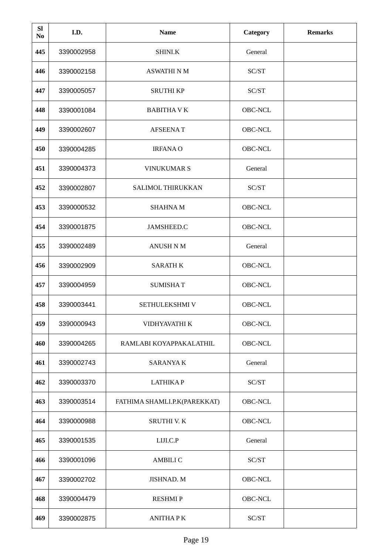| <b>SI</b><br>N <sub>0</sub> | I.D.       | <b>Name</b>                  | <b>Category</b> | <b>Remarks</b> |
|-----------------------------|------------|------------------------------|-----------------|----------------|
| 445                         | 3390002958 | SHINI.K                      | General         |                |
| 446                         | 3390002158 | <b>ASWATHI N M</b>           | SC/ST           |                |
| 447                         | 3390005057 | <b>SRUTHI KP</b>             | SC/ST           |                |
| 448                         | 3390001084 | <b>BABITHA V K</b>           | OBC-NCL         |                |
| 449                         | 3390002607 | <b>AFSEENAT</b>              | OBC-NCL         |                |
| 450                         | 3390004285 | <b>IRFANAO</b>               | OBC-NCL         |                |
| 451                         | 3390004373 | <b>VINUKUMAR S</b>           | General         |                |
| 452                         | 3390002807 | SALIMOL THIRUKKAN            | SC/ST           |                |
| 453                         | 3390000532 | <b>SHAHNAM</b>               | OBC-NCL         |                |
| 454                         | 3390001875 | JAMSHEED.C                   | OBC-NCL         |                |
| 455                         | 3390002489 | <b>ANUSH N M</b>             | General         |                |
| 456                         | 3390002909 | <b>SARATH K</b>              | OBC-NCL         |                |
| 457                         | 3390004959 | <b>SUMISHAT</b>              | OBC-NCL         |                |
| 458                         | 3390003441 | SETHULEKSHMI V               | OBC-NCL         |                |
| 459                         | 3390000943 | VIDHYAVATHI K                | OBC-NCL         |                |
| 460                         | 3390004265 | RAMLABI KOYAPPAKALATHIL      | OBC-NCL         |                |
| 461                         | 3390002743 | SARANYA K                    | General         |                |
| 462                         | 3390003370 | <b>LATHIKAP</b>              | SC/ST           |                |
| 463                         | 3390003514 | FATHIMA SHAMLI.P.K(PAREKKAT) | OBC-NCL         |                |
| 464                         | 3390000988 | SRUTHI V. K                  | OBC-NCL         |                |
| 465                         | 3390001535 | LIJI.C.P                     | General         |                |
| 466                         | 3390001096 | <b>AMBILI C</b>              | SC/ST           |                |
| 467                         | 3390002702 | JISHNAD. M                   | OBC-NCL         |                |
| 468                         | 3390004479 | <b>RESHMIP</b>               | OBC-NCL         |                |
| 469                         | 3390002875 | <b>ANITHAPK</b>              | SC/ST           |                |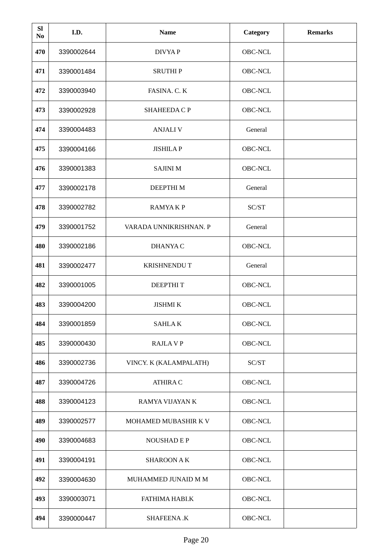| <b>SI</b><br>N <sub>0</sub> | I.D.       | <b>Name</b>            | Category | <b>Remarks</b> |
|-----------------------------|------------|------------------------|----------|----------------|
| 470                         | 3390002644 | <b>DIVYAP</b>          | OBC-NCL  |                |
| 471                         | 3390001484 | <b>SRUTHIP</b>         | OBC-NCL  |                |
| 472                         | 3390003940 | FASINA. C. K           | OBC-NCL  |                |
| 473                         | 3390002928 | SHAHEEDA C P           | OBC-NCL  |                |
| 474                         | 3390004483 | <b>ANJALI V</b>        | General  |                |
| 475                         | 3390004166 | <b>JISHILAP</b>        | OBC-NCL  |                |
| 476                         | 3390001383 | <b>SAJINI M</b>        | OBC-NCL  |                |
| 477                         | 3390002178 | DEEPTHI M              | General  |                |
| 478                         | 3390002782 | <b>RAMYAKP</b>         | SC/ST    |                |
| 479                         | 3390001752 | VARADA UNNIKRISHNAN. P | General  |                |
| 480                         | 3390002186 | DHANYA C               | OBC-NCL  |                |
| 481                         | 3390002477 | <b>KRISHNENDU T</b>    | General  |                |
| 482                         | 3390001005 | <b>DEEPTHIT</b>        | OBC-NCL  |                |
| 483                         | 3390004200 | <b>JISHMI K</b>        | OBC-NCL  |                |
| 484                         | 3390001859 | <b>SAHLAK</b>          | OBC-NCL  |                |
| 485                         | 3390000430 | <b>RAJLAVP</b>         | OBC-NCL  |                |
| 486                         | 3390002736 | VINCY. K (KALAMPALATH) | SC/ST    |                |
| 487                         | 3390004726 | <b>ATHIRA C</b>        | OBC-NCL  |                |
| 488                         | 3390004123 | RAMYA VIJAYAN K        | OBC-NCL  |                |
| 489                         | 3390002577 | MOHAMED MUBASHIR K V   | OBC-NCL  |                |
| 490                         | 3390004683 | <b>NOUSHAD E P</b>     | OBC-NCL  |                |
| 491                         | 3390004191 | <b>SHAROON A K</b>     | OBC-NCL  |                |
| 492                         | 3390004630 | MUHAMMED JUNAID M M    | OBC-NCL  |                |
| 493                         | 3390003071 | FATHIMA HABI.K         | OBC-NCL  |                |
| 494                         | 3390000447 | <b>SHAFEENA.K</b>      | OBC-NCL  |                |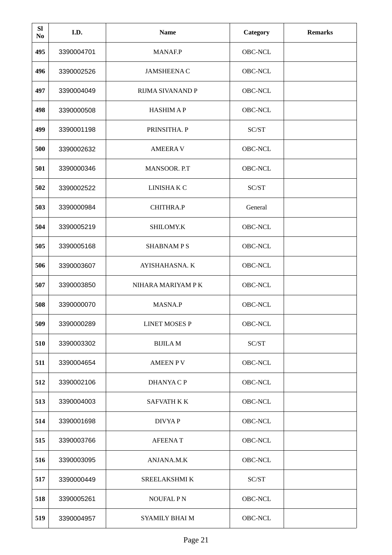| <b>SI</b><br>N <sub>0</sub> | I.D.       | <b>Name</b>          | <b>Category</b> | <b>Remarks</b> |
|-----------------------------|------------|----------------------|-----------------|----------------|
| 495                         | 3390004701 | <b>MANAF.P</b>       | OBC-NCL         |                |
| 496                         | 3390002526 | <b>JAMSHEENA C</b>   | OBC-NCL         |                |
| 497                         | 3390004049 | RIJMA SIVANAND P     | OBC-NCL         |                |
| 498                         | 3390000508 | <b>HASHIMAP</b>      | OBC-NCL         |                |
| 499                         | 3390001198 | PRINSITHA. P         | SC/ST           |                |
| 500                         | 3390002632 | <b>AMEERAV</b>       | OBC-NCL         |                |
| 501                         | 3390000346 | MANSOOR. P.T         | OBC-NCL         |                |
| 502                         | 3390002522 | LINISHAK C           | SC/ST           |                |
| 503                         | 3390000984 | CHITHRA.P            | General         |                |
| 504                         | 3390005219 | SHILOMY.K            | OBC-NCL         |                |
| 505                         | 3390005168 | <b>SHABNAMPS</b>     | OBC-NCL         |                |
| 506                         | 3390003607 | AYISHAHASNA. K       | OBC-NCL         |                |
| 507                         | 3390003850 | NIHARA MARIYAM P K   | OBC-NCL         |                |
| 508                         | 3390000070 | MASNA.P              | OBC-NCL         |                |
| 509                         | 3390000289 | <b>LINET MOSES P</b> | OBC-NCL         |                |
| 510                         | 3390003302 | <b>BIJILAM</b>       | SC/ST           |                |
| 511                         | 3390004654 | <b>AMEEN PV</b>      | OBC-NCL         |                |
| 512                         | 3390002106 | <b>DHANYA C P</b>    | OBC-NCL         |                |
| 513                         | 3390004003 | SAFVATH K K          | OBC-NCL         |                |
| 514                         | 3390001698 | <b>DIVYAP</b>        | OBC-NCL         |                |
| 515                         | 3390003766 | <b>AFEENAT</b>       | OBC-NCL         |                |
| 516                         | 3390003095 | ANJANA.M.K           | OBC-NCL         |                |
| 517                         | 3390000449 | SREELAKSHMI K        | SC/ST           |                |
| 518                         | 3390005261 | <b>NOUFAL PN</b>     | OBC-NCL         |                |
| 519                         | 3390004957 | SYAMILY BHAI M       | OBC-NCL         |                |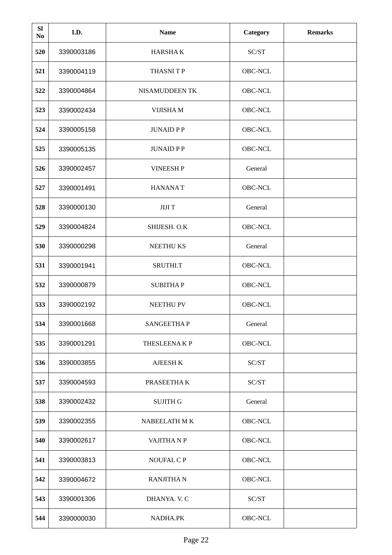| <b>SI</b><br>N <sub>0</sub> | I.D.       | <b>Name</b>       | <b>Category</b> | <b>Remarks</b> |
|-----------------------------|------------|-------------------|-----------------|----------------|
| 520                         | 3390003186 | <b>HARSHAK</b>    | SC/ST           |                |
| 521                         | 3390004119 | <b>THASNITP</b>   | OBC-NCL         |                |
| 522                         | 3390004864 | NISAMUDDEEN TK    | OBC-NCL         |                |
| 523                         | 3390002434 | VIJISHA M         | OBC-NCL         |                |
| 524                         | 3390005158 | <b>JUNAID PP</b>  | OBC-NCL         |                |
| 525                         | 3390005135 | <b>JUNAID PP</b>  | OBC-NCL         |                |
| 526                         | 3390002457 | <b>VINEESH P</b>  | General         |                |
| 527                         | 3390001491 | <b>HANANAT</b>    | <b>OBC-NCL</b>  |                |
| 528                         | 3390000130 | <b>JIJIT</b>      | General         |                |
| 529                         | 3390004824 | SHIJESH. O.K      | OBC-NCL         |                |
| 530                         | 3390000298 | <b>NEETHUKS</b>   | General         |                |
| 531                         | 3390001941 | SRUTHI.T          | OBC-NCL         |                |
| 532                         | 3390000879 | <b>SUBITHAP</b>   | OBC-NCL         |                |
| 533                         | 3390002192 | <b>NEETHU PV</b>  | OBC-NCL         |                |
| 534                         | 3390001668 | <b>SANGEETHAP</b> | General         |                |
| 535                         | 3390001291 | THESLEENAKP       | OBC-NCL         |                |
| 536                         | 3390003855 | <b>AJEESH K</b>   | SC/ST           |                |
| 537                         | 3390004593 | PRASEETHAK        | SC/ST           |                |
| 538                         | 3390002432 | <b>SUJITH G</b>   | General         |                |
| 539                         | 3390002355 | NABEELATH M K     | OBC-NCL         |                |
| 540                         | 3390002617 | VAJITHA N P       | OBC-NCL         |                |
| 541                         | 3390003813 | NOUFAL C P        | OBC-NCL         |                |
| 542                         | 3390004672 | <b>RANJITHAN</b>  | OBC-NCL         |                |
| 543                         | 3390001306 | DHANYA. V. C      | SC/ST           |                |
| 544                         | 3390000030 | NADHA.PK          | OBC-NCL         |                |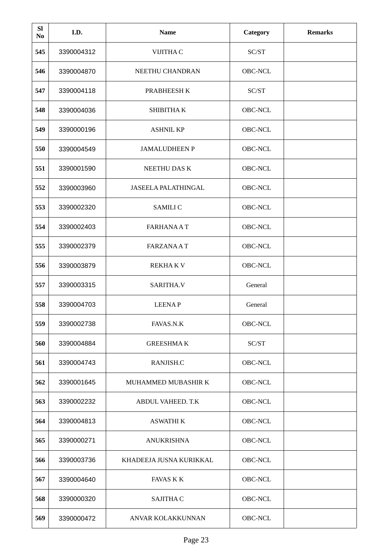| <b>SI</b><br>N <sub>0</sub> | I.D.       | <b>Name</b>             | <b>Category</b> | <b>Remarks</b> |
|-----------------------------|------------|-------------------------|-----------------|----------------|
| 545                         | 3390004312 | VIJITHA C               | SC/ST           |                |
| 546                         | 3390004870 | NEETHU CHANDRAN         | OBC-NCL         |                |
| 547                         | 3390004118 | PRABHEESH K             | SC/ST           |                |
| 548                         | 3390004036 | SHIBITHA K              | OBC-NCL         |                |
| 549                         | 3390000196 | <b>ASHNIL KP</b>        | OBC-NCL         |                |
| 550                         | 3390004549 | <b>JAMALUDHEEN P</b>    | OBC-NCL         |                |
| 551                         | 3390001590 | NEETHU DAS K            | OBC-NCL         |                |
| 552                         | 3390003960 | JASEELA PALATHINGAL     | OBC-NCL         |                |
| 553                         | 3390002320 | <b>SAMILI C</b>         | OBC-NCL         |                |
| 554                         | 3390002403 | <b>FARHANAAT</b>        | OBC-NCL         |                |
| 555                         | 3390002379 | <b>FARZANAAT</b>        | <b>OBC-NCL</b>  |                |
| 556                         | 3390003879 | <b>REKHAKV</b>          | OBC-NCL         |                |
| 557                         | 3390003315 | SARITHA.V               | General         |                |
| 558                         | 3390004703 | <b>LEENAP</b>           | General         |                |
| 559                         | 3390002738 | FAVAS.N.K               | OBC-NCL         |                |
| 560                         | 3390004884 | <b>GREESHMAK</b>        | SC/ST           |                |
| 561                         | 3390004743 | RANJISH.C               | OBC-NCL         |                |
| 562                         | 3390001645 | MUHAMMED MUBASHIR K     | OBC-NCL         |                |
| 563                         | 3390002232 | ABDUL VAHEED. T.K       | OBC-NCL         |                |
| 564                         | 3390004813 | <b>ASWATHI K</b>        | OBC-NCL         |                |
| 565                         | 3390000271 | <b>ANUKRISHNA</b>       | OBC-NCL         |                |
| 566                         | 3390003736 | KHADEEJA JUSNA KURIKKAL | OBC-NCL         |                |
| 567                         | 3390004640 | <b>FAVAS K K</b>        | OBC-NCL         |                |
| 568                         | 3390000320 | <b>SAJITHA C</b>        | OBC-NCL         |                |
| 569                         | 3390000472 | ANVAR KOLAKKUNNAN       | OBC-NCL         |                |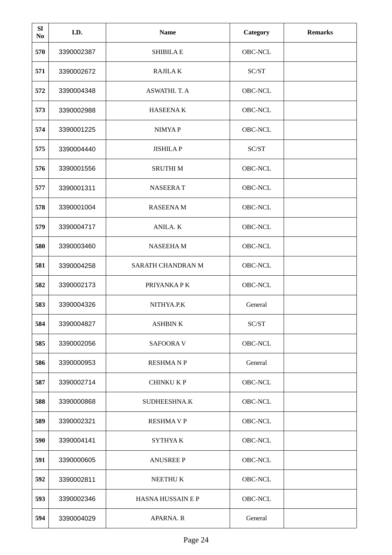| <b>SI</b><br>N <sub>0</sub> | I.D.       | <b>Name</b>              | Category | <b>Remarks</b> |
|-----------------------------|------------|--------------------------|----------|----------------|
| 570                         | 3390002387 | <b>SHIBILA E</b>         | OBC-NCL  |                |
| 571                         | 3390002672 | <b>RAJILAK</b>           | SC/ST    |                |
| 572                         | 3390004348 | ASWATHI. T. A            | OBC-NCL  |                |
| 573                         | 3390002988 | <b>HASEENAK</b>          | OBC-NCL  |                |
| 574                         | 3390001225 | <b>NIMYAP</b>            | OBC-NCL  |                |
| 575                         | 3390004440 | <b>JISHILAP</b>          | SC/ST    |                |
| 576                         | 3390001556 | <b>SRUTHIM</b>           | OBC-NCL  |                |
| 577                         | 3390001311 | <b>NASEERAT</b>          | OBC-NCL  |                |
| 578                         | 3390001004 | <b>RASEENAM</b>          | OBC-NCL  |                |
| 579                         | 3390004717 | ANILA. K                 | OBC-NCL  |                |
| 580                         | 3390003460 | <b>NASEEHAM</b>          | OBC-NCL  |                |
| 581                         | 3390004258 | SARATH CHANDRAN M        | OBC-NCL  |                |
| 582                         | 3390002173 | PRIYANKA PK              | OBC-NCL  |                |
| 583                         | 3390004326 | NITHYA.P.K               | General  |                |
| 584                         | 3390004827 | <b>ASHBINK</b>           | SC/ST    |                |
| 585                         | 3390002056 | <b>SAFOORA V</b>         | OBC-NCL  |                |
| 586                         | 3390000953 | <b>RESHMANP</b>          | General  |                |
| 587                         | 3390002714 | <b>CHINKU KP</b>         | OBC-NCL  |                |
| 588                         | 3390000868 | SUDHEESHNA.K             | OBC-NCL  |                |
| 589                         | 3390002321 | <b>RESHMAVP</b>          | OBC-NCL  |                |
| 590                         | 3390004141 | <b>SYTHYAK</b>           | OBC-NCL  |                |
| 591                         | 3390000605 | <b>ANUSREE P</b>         | OBC-NCL  |                |
| 592                         | 3390002811 | NEETHU K                 | OBC-NCL  |                |
| 593                         | 3390002346 | <b>HASNA HUSSAIN E P</b> | OBC-NCL  |                |
| 594                         | 3390004029 | APARNA. R                | General  |                |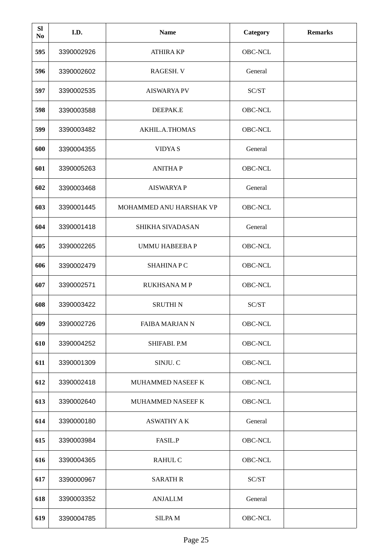| <b>SI</b><br>N <sub>0</sub> | I.D.       | <b>Name</b>             | Category | <b>Remarks</b> |
|-----------------------------|------------|-------------------------|----------|----------------|
| 595                         | 3390002926 | <b>ATHIRA KP</b>        | OBC-NCL  |                |
| 596                         | 3390002602 | RAGESH. V               | General  |                |
| 597                         | 3390002535 | <b>AISWARYA PV</b>      | SC/ST    |                |
| 598                         | 3390003588 | DEEPAK.E                | OBC-NCL  |                |
| 599                         | 3390003482 | AKHIL.A.THOMAS          | OBC-NCL  |                |
| 600                         | 3390004355 | <b>VIDYAS</b>           | General  |                |
| 601                         | 3390005263 | <b>ANITHAP</b>          | OBC-NCL  |                |
| 602                         | 3390003468 | <b>AISWARYAP</b>        | General  |                |
| 603                         | 3390001445 | MOHAMMED ANU HARSHAK VP | OBC-NCL  |                |
| 604                         | 3390001418 | SHIKHA SIVADASAN        | General  |                |
| 605                         | 3390002265 | <b>UMMU HABEEBAP</b>    | OBC-NCL  |                |
| 606                         | 3390002479 | <b>SHAHINAPC</b>        | OBC-NCL  |                |
| 607                         | 3390002571 | <b>RUKHSANA M P</b>     | OBC-NCL  |                |
| 608                         | 3390003422 | <b>SRUTHIN</b>          | SC/ST    |                |
| 609                         | 3390002726 | <b>FAIBA MARJAN N</b>   | OBC-NCL  |                |
| 610                         | 3390004252 | SHIFABI. P.M            | OBC-NCL  |                |
| 611                         | 3390001309 | SINJU. C                | OBC-NCL  |                |
| 612                         | 3390002418 | MUHAMMED NASEEF K       | OBC-NCL  |                |
| 613                         | 3390002640 | MUHAMMED NASEEF K       | OBC-NCL  |                |
| 614                         | 3390000180 | <b>ASWATHY A K</b>      | General  |                |
| 615                         | 3390003984 | FASIL.P                 | OBC-NCL  |                |
| 616                         | 3390004365 | RAHUL C                 | OBC-NCL  |                |
| 617                         | 3390000967 | <b>SARATH R</b>         | SC/ST    |                |
| 618                         | 3390003352 | ANJALI.M                | General  |                |
| 619                         | 3390004785 | <b>SILPAM</b>           | OBC-NCL  |                |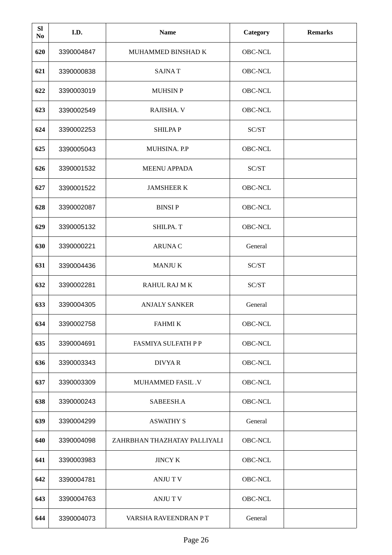| <b>SI</b><br>N <sub>0</sub> | I.D.       | <b>Name</b>                  | Category | <b>Remarks</b> |
|-----------------------------|------------|------------------------------|----------|----------------|
| 620                         | 3390004847 | MUHAMMED BINSHAD K           | OBC-NCL  |                |
| 621                         | 3390000838 | <b>SAJNAT</b>                | OBC-NCL  |                |
| 622                         | 3390003019 | <b>MUHSIN P</b>              | OBC-NCL  |                |
| 623                         | 3390002549 | RAJISHA. V                   | OBC-NCL  |                |
| 624                         | 3390002253 | <b>SHILPAP</b>               | SC/ST    |                |
| 625                         | 3390005043 | MUHSINA. P.P                 | OBC-NCL  |                |
| 626                         | 3390001532 | <b>MEENU APPADA</b>          | SC/ST    |                |
| 627                         | 3390001522 | <b>JAMSHEER K</b>            | OBC-NCL  |                |
| 628                         | 3390002087 | <b>BINSIP</b>                | OBC-NCL  |                |
| 629                         | 3390005132 | SHILPA. T                    | OBC-NCL  |                |
| 630                         | 3390000221 | <b>ARUNAC</b>                | General  |                |
| 631                         | 3390004436 | <b>MANJUK</b>                | SC/ST    |                |
| 632                         | 3390002281 | RAHUL RAJ M K                | SC/ST    |                |
| 633                         | 3390004305 | <b>ANJALY SANKER</b>         | General  |                |
| 634                         | 3390002758 | <b>FAHMI K</b>               | OBC-NCL  |                |
| 635                         | 3390004691 | FASMIYA SULFATH P P          | OBC-NCL  |                |
| 636                         | 3390003343 | <b>DIVYAR</b>                | OBC-NCL  |                |
| 637                         | 3390003309 | <b>MUHAMMED FASIL .V</b>     | OBC-NCL  |                |
| 638                         | 3390000243 | SABEESH.A                    | OBC-NCL  |                |
| 639                         | 3390004299 | <b>ASWATHY S</b>             | General  |                |
| 640                         | 3390004098 | ZAHRBHAN THAZHATAY PALLIYALI | OBC-NCL  |                |
| 641                         | 3390003983 | <b>JINCY K</b>               | OBC-NCL  |                |
| 642                         | 3390004781 | ANJU T V                     | OBC-NCL  |                |
| 643                         | 3390004763 | <b>ANJUTV</b>                | OBC-NCL  |                |
| 644                         | 3390004073 | VARSHA RAVEENDRAN PT         | General  |                |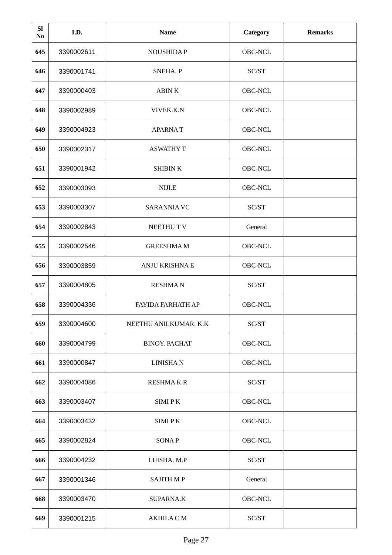| <b>SI</b><br>N <sub>0</sub> | I.D.       | <b>Name</b>           | Category | <b>Remarks</b> |
|-----------------------------|------------|-----------------------|----------|----------------|
| 645                         | 3390002611 | <b>NOUSHIDAP</b>      | OBC-NCL  |                |
| 646                         | 3390001741 | SNEHA. P              | SC/ST    |                |
| 647                         | 3390000403 | <b>ABINK</b>          | OBC-NCL  |                |
| 648                         | 3390002989 | VIVEK.K.N             | OBC-NCL  |                |
| 649                         | 3390004923 | <b>APARNAT</b>        | OBC-NCL  |                |
| 650                         | 3390002317 | <b>ASWATHY T</b>      | OBC-NCL  |                |
| 651                         | 3390001942 | <b>SHIBIN K</b>       | OBC-NCL  |                |
| 652                         | 3390003093 | NIJI.E                | OBC-NCL  |                |
| 653                         | 3390003307 | <b>SARANNIA VC</b>    | SC/ST    |                |
| 654                         | 3390002843 | NEETHUT V             | General  |                |
| 655                         | 3390002546 | <b>GREESHMAM</b>      | OBC-NCL  |                |
| 656                         | 3390003859 | <b>ANJU KRISHNA E</b> | OBC-NCL  |                |
| 657                         | 3390004805 | <b>RESHMAN</b>        | SC/ST    |                |
| 658                         | 3390004336 | FAYIDA FARHATH AP     | OBC-NCL  |                |
| 659                         | 3390004600 | NEETHU ANILKUMAR. K.K | SC/ST    |                |
| 660                         | 3390004799 | <b>BINOY. PACHAT</b>  | OBC-NCL  |                |
| 661                         | 3390000847 | <b>LINISHAN</b>       | OBC-NCL  |                |
| 662                         | 3390004086 | <b>RESHMAKR</b>       | SC/ST    |                |
| 663                         | 3390003407 | <b>SIMIPK</b>         | OBC-NCL  |                |
| 664                         | 3390003432 | <b>SIMIPK</b>         | OBC-NCL  |                |
| 665                         | 3390002824 | <b>SONAP</b>          | OBC-NCL  |                |
| 666                         | 3390004232 | LIJISHA. M.P          | SC/ST    |                |
| 667                         | 3390001346 | <b>SAJITH MP</b>      | General  |                |
| 668                         | 3390003470 | <b>SUPARNA.K</b>      | OBC-NCL  |                |
| 669                         | 3390001215 | <b>AKHILA CM</b>      | SC/ST    |                |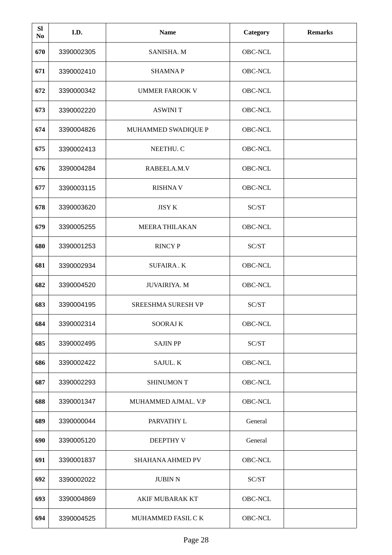| <b>SI</b><br>N <sub>0</sub> | I.D.       | <b>Name</b>             | <b>Category</b> | <b>Remarks</b> |
|-----------------------------|------------|-------------------------|-----------------|----------------|
| 670                         | 3390002305 | SANISHA. M              | OBC-NCL         |                |
| 671                         | 3390002410 | <b>SHAMNAP</b>          | OBC-NCL         |                |
| 672                         | 3390000342 | <b>UMMER FAROOK V</b>   | OBC-NCL         |                |
| 673                         | 3390002220 | <b>ASWINI T</b>         | OBC-NCL         |                |
| 674                         | 3390004826 | MUHAMMED SWADIQUE P     | OBC-NCL         |                |
| 675                         | 3390002413 | NEETHU. C               | OBC-NCL         |                |
| 676                         | 3390004284 | RABEELA, M.V            | OBC-NCL         |                |
| 677                         | 3390003115 | <b>RISHNAV</b>          | OBC-NCL         |                |
| 678                         | 3390003620 | <b>JISY K</b>           | SC/ST           |                |
| 679                         | 3390005255 | <b>MEERA THILAKAN</b>   | OBC-NCL         |                |
| 680                         | 3390001253 | <b>RINCY P</b>          | SC/ST           |                |
| 681                         | 3390002934 | <b>SUFAIRA.K</b>        | OBC-NCL         |                |
| 682                         | 3390004520 | <b>JUVAIRIYA. M</b>     | OBC-NCL         |                |
| 683                         | 3390004195 | SREESHMA SURESH VP      | SC/ST           |                |
| 684                         | 3390002314 | <b>SOORAJ K</b>         | OBC-NCL         |                |
| 685                         | 3390002495 | <b>SAJIN PP</b>         | SC/ST           |                |
| 686                         | 3390002422 | SAJUL. K                | OBC-NCL         |                |
| 687                         | 3390002293 | <b>SHINUMON T</b>       | OBC-NCL         |                |
| 688                         | 3390001347 | MUHAMMED AJMAL. V.P     | OBC-NCL         |                |
| 689                         | 3390000044 | PARVATHY L              | General         |                |
| 690                         | 3390005120 | DEEPTHY V               | General         |                |
| 691                         | 3390001837 | <b>SHAHANA AHMED PV</b> | OBC-NCL         |                |
| 692                         | 3390002022 | <b>JUBIN N</b>          | SC/ST           |                |
| 693                         | 3390004869 | <b>AKIF MUBARAK KT</b>  | OBC-NCL         |                |
| 694                         | 3390004525 | MUHAMMED FASIL CK       | OBC-NCL         |                |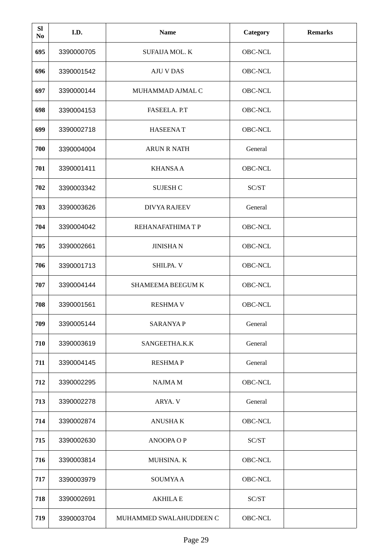| <b>SI</b><br>N <sub>0</sub> | I.D.       | <b>Name</b>             | <b>Category</b> | <b>Remarks</b> |
|-----------------------------|------------|-------------------------|-----------------|----------------|
| 695                         | 3390000705 | <b>SUFAIJA MOL. K</b>   | OBC-NCL         |                |
| 696                         | 3390001542 | <b>AJU V DAS</b>        | OBC-NCL         |                |
| 697                         | 3390000144 | MUHAMMAD AJMAL C        | OBC-NCL         |                |
| 698                         | 3390004153 | FASEELA. P.T            | OBC-NCL         |                |
| 699                         | 3390002718 | <b>HASEENAT</b>         | OBC-NCL         |                |
| 700                         | 3390004004 | <b>ARUN R NATH</b>      | General         |                |
| 701                         | 3390001411 | <b>KHANSAA</b>          | <b>OBC-NCL</b>  |                |
| 702                         | 3390003342 | <b>SUJESH C</b>         | SC/ST           |                |
| 703                         | 3390003626 | <b>DIVYA RAJEEV</b>     | General         |                |
| 704                         | 3390004042 | REHANAFATHIMA T P       | OBC-NCL         |                |
| 705                         | 3390002661 | <b>JINISHAN</b>         | <b>OBC-NCL</b>  |                |
| 706                         | 3390001713 | SHILPA. V               | OBC-NCL         |                |
| 707                         | 3390004144 | SHAMEEMA BEEGUM K       | OBC-NCL         |                |
| 708                         | 3390001561 | <b>RESHMAV</b>          | OBC-NCL         |                |
| 709                         | 3390005144 | <b>SARANYAP</b>         | General         |                |
| 710                         | 3390003619 | SANGEETHA.K.K           | General         |                |
| 711                         | 3390004145 | <b>RESHMAP</b>          | General         |                |
| 712                         | 3390002295 | NAJMA M                 | OBC-NCL         |                |
| 713                         | 3390002278 | ARYA. V                 | General         |                |
| 714                         | 3390002874 | <b>ANUSHAK</b>          | OBC-NCL         |                |
| 715                         | 3390002630 | <b>ANOOPA OP</b>        | SC/ST           |                |
| 716                         | 3390003814 | MUHSINA. K              | OBC-NCL         |                |
| 717                         | 3390003979 | <b>SOUMYAA</b>          | OBC-NCL         |                |
| 718                         | 3390002691 | <b>AKHILAE</b>          | SC/ST           |                |
| 719                         | 3390003704 | MUHAMMED SWALAHUDDEEN C | OBC-NCL         |                |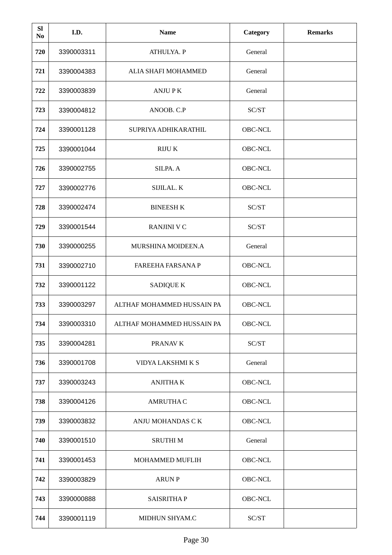| <b>SI</b><br>N <sub>0</sub> | I.D.       | <b>Name</b>                | <b>Category</b> | <b>Remarks</b> |
|-----------------------------|------------|----------------------------|-----------------|----------------|
| 720                         | 3390003311 | ATHULYA. P                 | General         |                |
| 721                         | 3390004383 | ALIA SHAFI MOHAMMED        | General         |                |
| 722                         | 3390003839 | <b>ANJUPK</b>              | General         |                |
| 723                         | 3390004812 | ANOOB. C.P                 | SC/ST           |                |
| 724                         | 3390001128 | SUPRIYA ADHIKARATHIL       | OBC-NCL         |                |
| 725                         | 3390001044 | <b>RIJUK</b>               | OBC-NCL         |                |
| 726                         | 3390002755 | SILPA. A                   | <b>OBC-NCL</b>  |                |
| 727                         | 3390002776 | SIJILAL. K                 | OBC-NCL         |                |
| 728                         | 3390002474 | <b>BINEESH K</b>           | SC/ST           |                |
| 729                         | 3390001544 | <b>RANJINI V C</b>         | SC/ST           |                |
| 730                         | 3390000255 | MURSHINA MOIDEEN.A         | General         |                |
| 731                         | 3390002710 | <b>FAREEHA FARSANA P</b>   | OBC-NCL         |                |
| 732                         | 3390001122 | <b>SADIQUE K</b>           | OBC-NCL         |                |
| 733                         | 3390003297 | ALTHAF MOHAMMED HUSSAIN PA | OBC-NCL         |                |
| 734                         | 3390003310 | ALTHAF MOHAMMED HUSSAIN PA | OBC-NCL         |                |
| 735                         | 3390004281 | PRANAV K                   | SC/ST           |                |
| 736                         | 3390001708 | VIDYA LAKSHMI K S          | General         |                |
| 737                         | 3390003243 | <b>ANJITHAK</b>            | OBC-NCL         |                |
| 738                         | 3390004126 | <b>AMRUTHA C</b>           | OBC-NCL         |                |
| 739                         | 3390003832 | ANJU MOHANDAS C K          | OBC-NCL         |                |
| 740                         | 3390001510 | <b>SRUTHIM</b>             | General         |                |
| 741                         | 3390001453 | MOHAMMED MUFLIH            | OBC-NCL         |                |
| 742                         | 3390003829 | <b>ARUN P</b>              | OBC-NCL         |                |
| 743                         | 3390000888 | <b>SAISRITHAP</b>          | OBC-NCL         |                |
| 744                         | 3390001119 | MIDHUN SHYAM.C             | SC/ST           |                |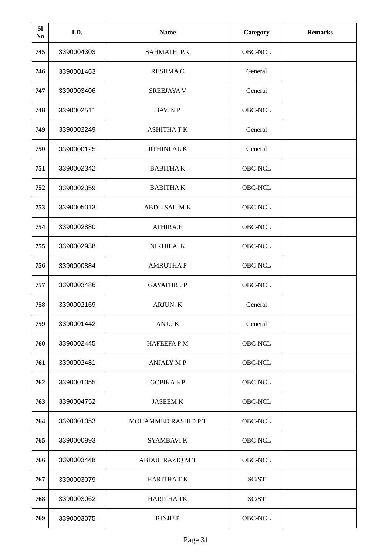| <b>SI</b><br>N <sub>0</sub> | I.D.       | <b>Name</b>         | <b>Category</b> | <b>Remarks</b> |
|-----------------------------|------------|---------------------|-----------------|----------------|
| 745                         | 3390004303 | SAHMATH. P.K        | OBC-NCL         |                |
| 746                         | 3390001463 | <b>RESHMAC</b>      | General         |                |
| 747                         | 3390003406 | <b>SREEJAYA V</b>   | General         |                |
| 748                         | 3390002511 | <b>BAVIN P</b>      | OBC-NCL         |                |
| 749                         | 3390002249 | <b>ASHITHATK</b>    | General         |                |
| 750                         | 3390000125 | JITHINLAL K         | General         |                |
| 751                         | 3390002342 | <b>BABITHAK</b>     | <b>OBC-NCL</b>  |                |
| 752                         | 3390002359 | <b>BABITHAK</b>     | OBC-NCL         |                |
| 753                         | 3390005013 | <b>ABDU SALIM K</b> | OBC-NCL         |                |
| 754                         | 3390002880 | <b>ATHIRA.E</b>     | OBC-NCL         |                |
| 755                         | 3390002938 | NIKHILA. K          | OBC-NCL         |                |
| 756                         | 3390000884 | <b>AMRUTHAP</b>     | OBC-NCL         |                |
| 757                         | 3390003486 | <b>GAYATHRI. P</b>  | OBC-NCL         |                |
| 758                         | 3390002169 | ARJUN. K            | General         |                |
| 759                         | 3390001442 | <b>ANJUK</b>        | General         |                |
| 760                         | 3390002445 | <b>HAFEEFAPM</b>    | OBC-NCL         |                |
| 761                         | 3390002481 | <b>ANJALY MP</b>    | OBC-NCL         |                |
| 762                         | 3390001055 | GOPIKA.KP           | OBC-NCL         |                |
| 763                         | 3390004752 | <b>JASEEM K</b>     | OBC-NCL         |                |
| 764                         | 3390001053 | MOHAMMED RASHID PT  | OBC-NCL         |                |
| 765                         | 3390000993 | SYAMBAVI.K          | OBC-NCL         |                |
| 766                         | 3390003448 | ABDUL RAZIQ MT      | OBC-NCL         |                |
| 767                         | 3390003079 | <b>HARITHATK</b>    | SC/ST           |                |
| 768                         | 3390003062 | <b>HARITHA TK</b>   | SC/ST           |                |
| 769                         | 3390003075 | RINJU.P             | OBC-NCL         |                |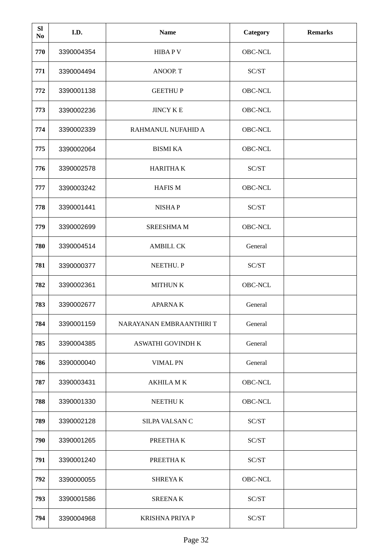| <b>SI</b><br>N <sub>0</sub> | I.D.       | <b>Name</b>              | <b>Category</b> | <b>Remarks</b> |
|-----------------------------|------------|--------------------------|-----------------|----------------|
| 770                         | 3390004354 | <b>HIBAPV</b>            | OBC-NCL         |                |
| 771                         | 3390004494 | ANOOP. T                 | SC/ST           |                |
| 772                         | 3390001138 | <b>GEETHUP</b>           | OBC-NCL         |                |
| 773                         | 3390002236 | <b>JINCY K E</b>         | OBC-NCL         |                |
| 774                         | 3390002339 | RAHMANUL NUFAHID A       | OBC-NCL         |                |
| 775                         | 3390002064 | <b>BISMI KA</b>          | <b>OBC-NCL</b>  |                |
| 776                         | 3390002578 | <b>HARITHAK</b>          | SC/ST           |                |
| 777                         | 3390003242 | <b>HAFIS M</b>           | OBC-NCL         |                |
| 778                         | 3390001441 | <b>NISHAP</b>            | SC/ST           |                |
| 779                         | 3390002699 | <b>SREESHMAM</b>         | OBC-NCL         |                |
| 780                         | 3390004514 | AMBILI. CK               | General         |                |
| 781                         | 3390000377 | NEETHU. P                | SC/ST           |                |
| 782                         | 3390002361 | <b>MITHUN K</b>          | OBC-NCL         |                |
| 783                         | 3390002677 | <b>APARNAK</b>           | General         |                |
| 784                         | 3390001159 | NARAYANAN EMBRAANTHIRI T | General         |                |
| 785                         | 3390004385 | ASWATHI GOVINDH K        | General         |                |
| 786                         | 3390000040 | <b>VIMAL PN</b>          | General         |                |
| 787                         | 3390003431 | <b>AKHILA MK</b>         | OBC-NCL         |                |
| 788                         | 3390001330 | NEETHU K                 | OBC-NCL         |                |
| 789                         | 3390002128 | SILPA VALSAN C           | SC/ST           |                |
| 790                         | 3390001265 | PREETHAK                 | SC/ST           |                |
| 791                         | 3390001240 | PREETHAK                 | SC/ST           |                |
| 792                         | 3390000055 | <b>SHREYAK</b>           | OBC-NCL         |                |
| 793                         | 3390001586 | <b>SREENAK</b>           | SC/ST           |                |
| 794                         | 3390004968 | <b>KRISHNA PRIYA P</b>   | SC/ST           |                |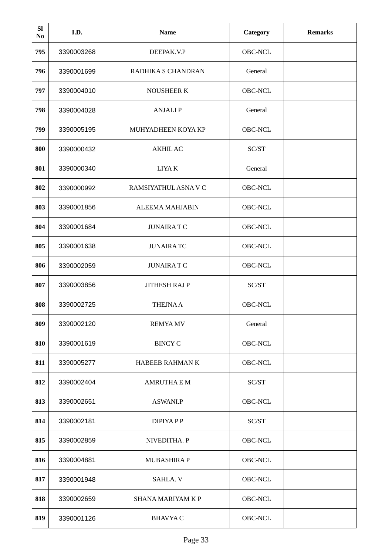| <b>SI</b><br>N <sub>0</sub> | I.D.       | <b>Name</b>              | <b>Category</b> | <b>Remarks</b> |
|-----------------------------|------------|--------------------------|-----------------|----------------|
| 795                         | 3390003268 | DEEPAK.V.P               | OBC-NCL         |                |
| 796                         | 3390001699 | RADHIKA S CHANDRAN       | General         |                |
| 797                         | 3390004010 | <b>NOUSHEER K</b>        | OBC-NCL         |                |
| 798                         | 3390004028 | <b>ANJALIP</b>           | General         |                |
| 799                         | 3390005195 | MUHYADHEEN KOYA KP       | OBC-NCL         |                |
| 800                         | 3390000432 | <b>AKHIL AC</b>          | SC/ST           |                |
| 801                         | 3390000340 | LIYA K                   | General         |                |
| 802                         | 3390000992 | RAMSIYATHUL ASNA V C     | OBC-NCL         |                |
| 803                         | 3390001856 | <b>ALEEMA MAHJABIN</b>   | OBC-NCL         |                |
| 804                         | 3390001684 | <b>JUNAIRATC</b>         | OBC-NCL         |                |
| 805                         | 3390001638 | <b>JUNAIRATC</b>         | OBC-NCL         |                |
| 806                         | 3390002059 | <b>JUNAIRATC</b>         | OBC-NCL         |                |
| 807                         | 3390003856 | <b>JITHESH RAJ P</b>     | SC/ST           |                |
| 808                         | 3390002725 | <b>THEJNAA</b>           | OBC-NCL         |                |
| 809                         | 3390002120 | <b>REMYA MV</b>          | General         |                |
| 810                         | 3390001619 | <b>BINCY C</b>           | OBC-NCL         |                |
| 811                         | 3390005277 | HABEEB RAHMAN K          | OBC-NCL         |                |
| 812                         | 3390002404 | <b>AMRUTHA E M</b>       | SC/ST           |                |
| 813                         | 3390002651 | <b>ASWANI.P</b>          | OBC-NCL         |                |
| 814                         | 3390002181 | DIPIYA P P               | SC/ST           |                |
| 815                         | 3390002859 | NIVEDITHA. P             | OBC-NCL         |                |
| 816                         | 3390004881 | <b>MUBASHIRAP</b>        | OBC-NCL         |                |
| 817                         | 3390001948 | SAHLA. V                 | OBC-NCL         |                |
| 818                         | 3390002659 | <b>SHANA MARIYAM K P</b> | OBC-NCL         |                |
| 819                         | 3390001126 | <b>BHAVYA C</b>          | OBC-NCL         |                |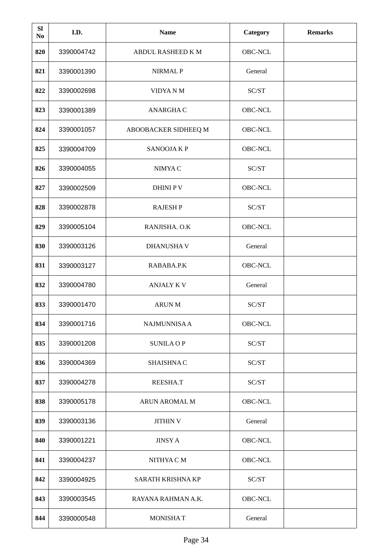| <b>SI</b><br>N <sub>0</sub> | I.D.       | <b>Name</b>          | Category | <b>Remarks</b> |
|-----------------------------|------------|----------------------|----------|----------------|
| 820                         | 3390004742 | ABDUL RASHEED K M    | OBC-NCL  |                |
| 821                         | 3390001390 | <b>NIRMAL P</b>      | General  |                |
| 822                         | 3390002698 | VIDYA N M            | SC/ST    |                |
| 823                         | 3390001389 | ANARGHA C            | OBC-NCL  |                |
| 824                         | 3390001057 | ABOOBACKER SIDHEEQ M | OBC-NCL  |                |
| 825                         | 3390004709 | <b>SANOOJAKP</b>     | OBC-NCL  |                |
| 826                         | 3390004055 | NIMYA C              | SC/ST    |                |
| 827                         | 3390002509 | <b>DHINIPV</b>       | OBC-NCL  |                |
| 828                         | 3390002878 | <b>RAJESH P</b>      | SC/ST    |                |
| 829                         | 3390005104 | RANJISHA. O.K        | OBC-NCL  |                |
| 830                         | 3390003126 | DHANUSHA V           | General  |                |
| 831                         | 3390003127 | RABABA.P.K           | OBC-NCL  |                |
| 832                         | 3390004780 | <b>ANJALY K V</b>    | General  |                |
| 833                         | 3390001470 | <b>ARUN M</b>        | SC/ST    |                |
| 834                         | 3390001716 | <b>NAJMUNNISA A</b>  | OBC-NCL  |                |
| 835                         | 3390001208 | <b>SUNILA OP</b>     | SC/ST    |                |
| 836                         | 3390004369 | SHAISHNA C           | SC/ST    |                |
| 837                         | 3390004278 | REESHA.T             | SC/ST    |                |
| 838                         | 3390005178 | ARUN AROMAL M        | OBC-NCL  |                |
| 839                         | 3390003136 | <b>JITHIN V</b>      | General  |                |
| 840                         | 3390001221 | <b>JINSY A</b>       | OBC-NCL  |                |
| 841                         | 3390004237 | NITHYA C M           | OBC-NCL  |                |
| 842                         | 3390004925 | SARATH KRISHNA KP    | SC/ST    |                |
| 843                         | 3390003545 | RAYANA RAHMAN A.K.   | OBC-NCL  |                |
| 844                         | 3390000548 | <b>MONISHAT</b>      | General  |                |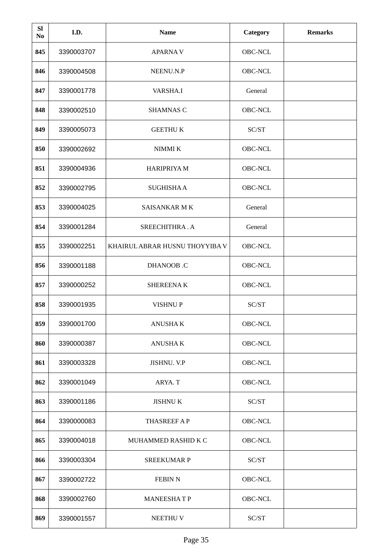| <b>SI</b><br>N <sub>0</sub> | I.D.       | <b>Name</b>                    | <b>Category</b> | <b>Remarks</b> |
|-----------------------------|------------|--------------------------------|-----------------|----------------|
| 845                         | 3390003707 | <b>APARNAV</b>                 | OBC-NCL         |                |
| 846                         | 3390004508 | NEENU.N.P                      | OBC-NCL         |                |
| 847                         | 3390001778 | VARSHA.I                       | General         |                |
| 848                         | 3390002510 | <b>SHAMNAS C</b>               | OBC-NCL         |                |
| 849                         | 3390005073 | <b>GEETHUK</b>                 | SC/ST           |                |
| 850                         | 3390002692 | NIMMI K                        | OBC-NCL         |                |
| 851                         | 3390004936 | <b>HARIPRIYA M</b>             | <b>OBC-NCL</b>  |                |
| 852                         | 3390002795 | <b>SUGHISHAA</b>               | OBC-NCL         |                |
| 853                         | 3390004025 | <b>SAISANKAR M K</b>           | General         |                |
| 854                         | 3390001284 | SREECHITHRA.A                  | General         |                |
| 855                         | 3390002251 | KHAIRUL ABRAR HUSNU THOYYIBA V | <b>OBC-NCL</b>  |                |
| 856                         | 3390001188 | <b>DHANOOB</b> .C              | OBC-NCL         |                |
| 857                         | 3390000252 | <b>SHEREENAK</b>               | OBC-NCL         |                |
| 858                         | 3390001935 | VISHNU P                       | SC/ST           |                |
| 859                         | 3390001700 | <b>ANUSHAK</b>                 | OBC-NCL         |                |
| 860                         | 3390000387 | <b>ANUSHAK</b>                 | OBC-NCL         |                |
| 861                         | 3390003328 | JISHNU. V.P                    | OBC-NCL         |                |
| 862                         | 3390001049 | ARYA. T                        | OBC-NCL         |                |
| 863                         | 3390001186 | <b>JISHNUK</b>                 | SC/ST           |                |
| 864                         | 3390000083 | <b>THASREEF AP</b>             | OBC-NCL         |                |
| 865                         | 3390004018 | MUHAMMED RASHID K C            | OBC-NCL         |                |
| 866                         | 3390003304 | <b>SREEKUMAR P</b>             | SC/ST           |                |
| 867                         | 3390002722 | <b>FEBIN N</b>                 | OBC-NCL         |                |
| 868                         | 3390002760 | <b>MANEESHATP</b>              | OBC-NCL         |                |
| 869                         | 3390001557 | NEETHU V                       | SC/ST           |                |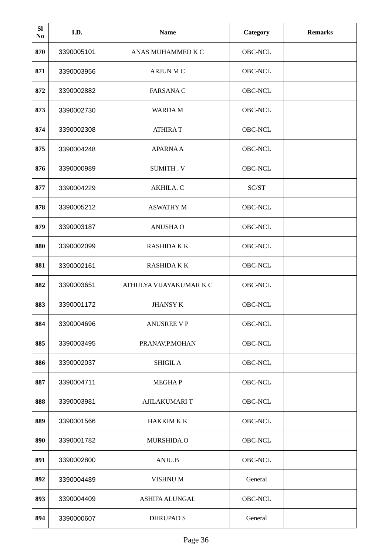| <b>SI</b><br>N <sub>0</sub> | I.D.       | <b>Name</b>             | Category       | <b>Remarks</b> |
|-----------------------------|------------|-------------------------|----------------|----------------|
| 870                         | 3390005101 | ANAS MUHAMMED K C       | OBC-NCL        |                |
| 871                         | 3390003956 | <b>ARJUN M C</b>        | OBC-NCL        |                |
| 872                         | 3390002882 | <b>FARSANAC</b>         | OBC-NCL        |                |
| 873                         | 3390002730 | <b>WARDAM</b>           | OBC-NCL        |                |
| 874                         | 3390002308 | <b>ATHIRAT</b>          | OBC-NCL        |                |
| 875                         | 3390004248 | <b>APARNAA</b>          | OBC-NCL        |                |
| 876                         | 3390000989 | SUMITH. V               | OBC-NCL        |                |
| 877                         | 3390004229 | AKHILA. C               | SC/ST          |                |
| 878                         | 3390005212 | <b>ASWATHY M</b>        | OBC-NCL        |                |
| 879                         | 3390003187 | <b>ANUSHAO</b>          | OBC-NCL        |                |
| 880                         | 3390002099 | <b>RASHIDAKK</b>        | OBC-NCL        |                |
| 881                         | 3390002161 | <b>RASHIDAKK</b>        | <b>OBC-NCL</b> |                |
| 882                         | 3390003651 | ATHULYA VIJAYAKUMAR K C | OBC-NCL        |                |
| 883                         | 3390001172 | <b>JHANSY K</b>         | OBC-NCL        |                |
| 884                         | 3390004696 | <b>ANUSREE VP</b>       | OBC-NCL        |                |
| 885                         | 3390003495 | PRANAV.P.MOHAN          | OBC-NCL        |                |
| 886                         | 3390002037 | <b>SHIGIL A</b>         | OBC-NCL        |                |
| 887                         | 3390004711 | <b>MEGHAP</b>           | OBC-NCL        |                |
| 888                         | 3390003981 | <b>AJILAKUMARIT</b>     | OBC-NCL        |                |
| 889                         | 3390001566 | <b>HAKKIM K K</b>       | OBC-NCL        |                |
| 890                         | 3390001782 | MURSHIDA.O              | OBC-NCL        |                |
| 891                         | 3390002800 | ANJU.B                  | OBC-NCL        |                |
| 892                         | 3390004489 | VISHNU M                | General        |                |
| 893                         | 3390004409 | ASHIFA ALUNGAL          | OBC-NCL        |                |
| 894                         | 3390000607 | <b>DHRUPAD S</b>        | General        |                |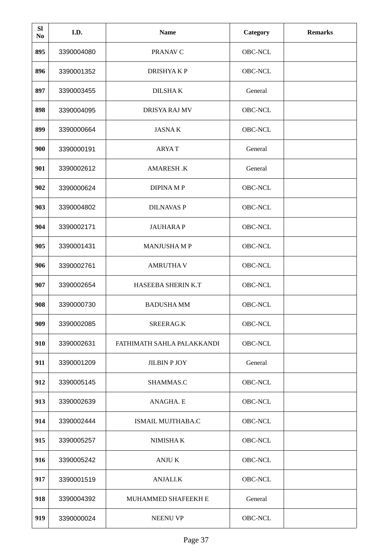| <b>SI</b><br>N <sub>0</sub> | I.D.       | <b>Name</b>                | Category | <b>Remarks</b> |
|-----------------------------|------------|----------------------------|----------|----------------|
| 895                         | 3390004080 | PRANAV C                   | OBC-NCL  |                |
| 896                         | 3390001352 | <b>DRISHYAKP</b>           | OBC-NCL  |                |
| 897                         | 3390003455 | <b>DILSHAK</b>             | General  |                |
| 898                         | 3390004095 | DRISYA RAJ MV              | OBC-NCL  |                |
| 899                         | 3390000664 | <b>JASNAK</b>              | OBC-NCL  |                |
| 900                         | 3390000191 | <b>ARYAT</b>               | General  |                |
| 901                         | 3390002612 | AMARESH.K                  | General  |                |
| 902                         | 3390000624 | <b>DIPINAMP</b>            | OBC-NCL  |                |
| 903                         | 3390004802 | <b>DILNAVAS P</b>          | OBC-NCL  |                |
| 904                         | 3390002171 | <b>JAUHARAP</b>            | OBC-NCL  |                |
| 905                         | 3390001431 | <b>MANJUSHAMP</b>          | OBC-NCL  |                |
| 906                         | 3390002761 | <b>AMRUTHAV</b>            | OBC-NCL  |                |
| 907                         | 3390002654 | HASEEBA SHERIN K.T         | OBC-NCL  |                |
| 908                         | 3390000730 | <b>BADUSHA MM</b>          | OBC-NCL  |                |
| 909                         | 3390002085 | SREERAG.K                  | OBC-NCL  |                |
| 910                         | 3390002631 | FATHIMATH SAHLA PALAKKANDI | OBC-NCL  |                |
| 911                         | 3390001209 | <b>JILBIN P JOY</b>        | General  |                |
| 912                         | 3390005145 | SHAMMAS.C                  | OBC-NCL  |                |
| 913                         | 3390002639 | ANAGHA. E                  | OBC-NCL  |                |
| 914                         | 3390002444 | <b>ISMAIL MUJTHABA.C</b>   | OBC-NCL  |                |
| 915                         | 3390005257 | NIMISHA K                  | OBC-NCL  |                |
| 916                         | 3390005242 | ANJU K                     | OBC-NCL  |                |
| 917                         | 3390001519 | <b>ANJALI.K</b>            | OBC-NCL  |                |
| 918                         | 3390004392 | MUHAMMED SHAFEEKH E        | General  |                |
| 919                         | 3390000024 | <b>NEENU VP</b>            | OBC-NCL  |                |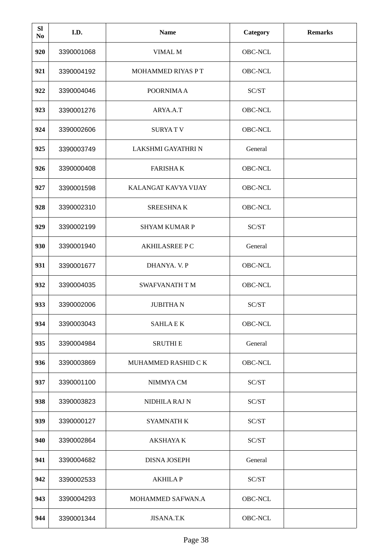| <b>SI</b><br>N <sub>0</sub> | I.D.       | <b>Name</b>           | <b>Category</b> | <b>Remarks</b> |
|-----------------------------|------------|-----------------------|-----------------|----------------|
| 920                         | 3390001068 | VIMAL M               | OBC-NCL         |                |
| 921                         | 3390004192 | MOHAMMED RIYAS PT     | OBC-NCL         |                |
| 922                         | 3390004046 | POORNIMA A            | SC/ST           |                |
| 923                         | 3390001276 | ARYA.A.T              | OBC-NCL         |                |
| 924                         | 3390002606 | <b>SURYATV</b>        | OBC-NCL         |                |
| 925                         | 3390003749 | LAKSHMI GAYATHRI N    | General         |                |
| 926                         | 3390000408 | <b>FARISHAK</b>       | OBC-NCL         |                |
| 927                         | 3390001598 | KALANGAT KAVYA VIJAY  | OBC-NCL         |                |
| 928                         | 3390002310 | <b>SREESHNAK</b>      | OBC-NCL         |                |
| 929                         | 3390002199 | <b>SHYAM KUMAR P</b>  | SC/ST           |                |
| 930                         | 3390001940 | <b>AKHILASREE PC</b>  | General         |                |
| 931                         | 3390001677 | DHANYA. V. P          | <b>OBC-NCL</b>  |                |
| 932                         | 3390004035 | <b>SWAFVANATH T M</b> | OBC-NCL         |                |
| 933                         | 3390002006 | <b>JUBITHAN</b>       | SC/ST           |                |
| 934                         | 3390003043 | <b>SAHLAEK</b>        | OBC-NCL         |                |
| 935                         | 3390004984 | <b>SRUTHI E</b>       | General         |                |
| 936                         | 3390003869 | MUHAMMED RASHID C K   | OBC-NCL         |                |
| 937                         | 3390001100 | NIMMYA CM             | SC/ST           |                |
| 938                         | 3390003823 | NIDHILA RAJ N         | SC/ST           |                |
| 939                         | 3390000127 | <b>SYAMNATH K</b>     | SC/ST           |                |
| 940                         | 3390002864 | AKSHAYA K             | SC/ST           |                |
| 941                         | 3390004682 | DISNA JOSEPH          | General         |                |
| 942                         | 3390002533 | <b>AKHILAP</b>        | SC/ST           |                |
| 943                         | 3390004293 | MOHAMMED SAFWAN.A     | OBC-NCL         |                |
| 944                         | 3390001344 | JISANA.T.K            | OBC-NCL         |                |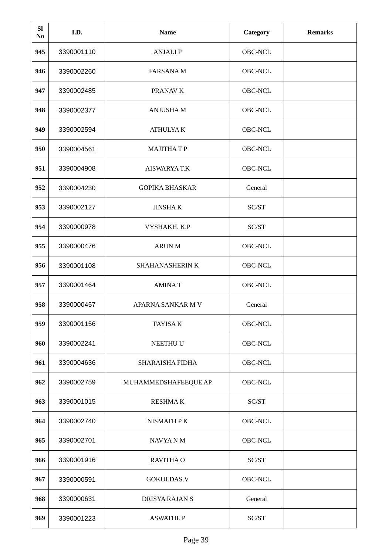| <b>SI</b><br>No | I.D.       | <b>Name</b>            | <b>Category</b> | <b>Remarks</b> |
|-----------------|------------|------------------------|-----------------|----------------|
| 945             | 3390001110 | <b>ANJALIP</b>         | OBC-NCL         |                |
| 946             | 3390002260 | <b>FARSANAM</b>        | OBC-NCL         |                |
| 947             | 3390002485 | PRANAV K               | OBC-NCL         |                |
| 948             | 3390002377 | <b>ANJUSHAM</b>        | OBC-NCL         |                |
| 949             | 3390002594 | <b>ATHULYA K</b>       | OBC-NCL         |                |
| 950             | 3390004561 | <b>MAJITHATP</b>       | OBC-NCL         |                |
| 951             | 3390004908 | AISWARYA T.K           | OBC-NCL         |                |
| 952             | 3390004230 | <b>GOPIKA BHASKAR</b>  | General         |                |
| 953             | 3390002127 | <b>JINSHAK</b>         | SC/ST           |                |
| 954             | 3390000978 | VYSHAKH. K.P           | SC/ST           |                |
| 955             | 3390000476 | <b>ARUN M</b>          | <b>OBC-NCL</b>  |                |
| 956             | 3390001108 | SHAHANASHERIN K        | OBC-NCL         |                |
| 957             | 3390001464 | <b>AMINAT</b>          | OBC-NCL         |                |
| 958             | 3390000457 | APARNA SANKAR M V      | General         |                |
| 959             | 3390001156 | <b>FAYISA K</b>        | OBC-NCL         |                |
| 960             | 3390002241 | NEETHU U               | OBC-NCL         |                |
| 961             | 3390004636 | <b>SHARAISHA FIDHA</b> | OBC-NCL         |                |
| 962             | 3390002759 | MUHAMMEDSHAFEEQUE AP   | OBC-NCL         |                |
| 963             | 3390001015 | <b>RESHMAK</b>         | SC/ST           |                |
| 964             | 3390002740 | NISMATH P K            | OBC-NCL         |                |
| 965             | 3390002701 | NAVYA N M              | OBC-NCL         |                |
| 966             | 3390001916 | <b>RAVITHA O</b>       | SC/ST           |                |
| 967             | 3390000591 | GOKULDAS.V             | OBC-NCL         |                |
| 968             | 3390000631 | DRISYA RAJAN S         | General         |                |
| 969             | 3390001223 | <b>ASWATHI. P</b>      | SC/ST           |                |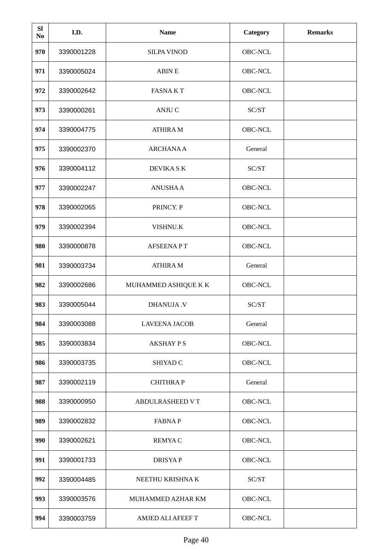| <b>SI</b><br>No | I.D.       | <b>Name</b>              | <b>Category</b> | <b>Remarks</b> |
|-----------------|------------|--------------------------|-----------------|----------------|
| 970             | 3390001228 | <b>SILPA VINOD</b>       | OBC-NCL         |                |
| 971             | 3390005024 | <b>ABIN E</b>            | OBC-NCL         |                |
| 972             | 3390002642 | <b>FASNAKT</b>           | OBC-NCL         |                |
| 973             | 3390000261 | <b>ANJU C</b>            | SC/ST           |                |
| 974             | 3390004775 | <b>ATHIRA M</b>          | OBC-NCL         |                |
| 975             | 3390002370 | <b>ARCHANAA</b>          | General         |                |
| 976             | 3390004112 | DEVIKA SK                | SC/ST           |                |
| 977             | 3390002247 | <b>ANUSHAA</b>           | OBC-NCL         |                |
| 978             | 3390002065 | PRINCY. P                | OBC-NCL         |                |
| 979             | 3390002394 | VISHNU.K                 | OBC-NCL         |                |
| 980             | 3390000878 | <b>AFSEENAPT</b>         | OBC-NCL         |                |
| 981             | 3390003734 | <b>ATHIRA M</b>          | General         |                |
| 982             | 3390002686 | MUHAMMED ASHIQUE K K     | OBC-NCL         |                |
| 983             | 3390005044 | <b>DHANUJA.V</b>         | SC/ST           |                |
| 984             | 3390003088 | <b>LAVEENA JACOB</b>     | General         |                |
| 985             | 3390003834 | <b>AKSHAY PS</b>         | OBC-NCL         |                |
| 986             | 3390003735 | <b>SHIYAD C</b>          | OBC-NCL         |                |
| 987             | 3390002119 | <b>CHITHRAP</b>          | General         |                |
| 988             | 3390000950 | <b>ABDULRASHEED VT</b>   | OBC-NCL         |                |
| 989             | 3390002832 | <b>FABNAP</b>            | OBC-NCL         |                |
| 990             | 3390002621 | <b>REMYAC</b>            | OBC-NCL         |                |
| 991             | 3390001733 | <b>DRISYAP</b>           | OBC-NCL         |                |
| 992             | 3390004485 | NEETHU KRISHNA K         | SC/ST           |                |
| 993             | 3390003576 | MUHAMMED AZHAR KM        | OBC-NCL         |                |
| 994             | 3390003759 | <b>AMJED ALI AFEEF T</b> | OBC-NCL         |                |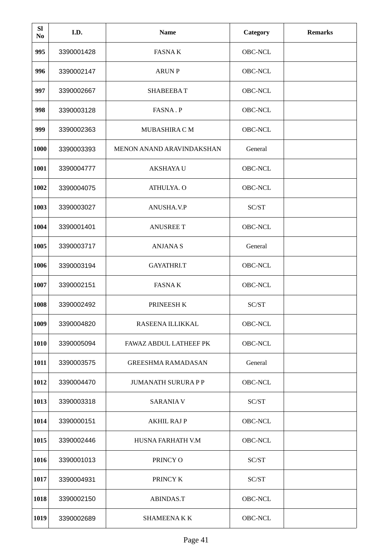| <b>SI</b><br>No | I.D.       | <b>Name</b>                      | Category | <b>Remarks</b> |
|-----------------|------------|----------------------------------|----------|----------------|
| 995             | 3390001428 | <b>FASNAK</b>                    | OBC-NCL  |                |
| 996             | 3390002147 | <b>ARUN P</b>                    | OBC-NCL  |                |
| 997             | 3390002667 | <b>SHABEEBAT</b>                 | OBC-NCL  |                |
| 998             | 3390003128 | FASNA.P                          | OBC-NCL  |                |
| 999             | 3390002363 | MUBASHIRA C M                    | OBC-NCL  |                |
| 1000            | 3390003393 | <b>MENON ANAND ARAVINDAKSHAN</b> | General  |                |
| 1001            | 3390004777 | <b>AKSHAYA U</b>                 | OBC-NCL  |                |
| 1002            | 3390004075 | ATHULYA. O                       | OBC-NCL  |                |
| 1003            | 3390003027 | ANUSHA.V.P                       | SC/ST    |                |
| 1004            | 3390001401 | <b>ANUSREE T</b>                 | OBC-NCL  |                |
| 1005            | 3390003717 | <b>ANJANAS</b>                   | General  |                |
| 1006            | 3390003194 | GAYATHRI.T                       | OBC-NCL  |                |
| 1007            | 3390002151 | <b>FASNAK</b>                    | OBC-NCL  |                |
| 1008            | 3390002492 | PRINEESH K                       | SC/ST    |                |
| 1009            | 3390004820 | RASEENA ILLIKKAL                 | OBC-NCL  |                |
| 1010            | 3390005094 | FAWAZ ABDUL LATHEEF PK           | OBC-NCL  |                |
| 1011            | 3390003575 | <b>GREESHMA RAMADASAN</b>        | General  |                |
| 1012            | 3390004470 | <b>JUMANATH SURURA P P</b>       | OBC-NCL  |                |
| 1013            | 3390003318 | <b>SARANIA V</b>                 | SC/ST    |                |
| 1014            | 3390000151 | <b>AKHIL RAJ P</b>               | OBC-NCL  |                |
| 1015            | 3390002446 | HUSNA FARHATH V.M                | OBC-NCL  |                |
| 1016            | 3390001013 | PRINCY O                         | SC/ST    |                |
| 1017            | 3390004931 | PRINCY K                         | SC/ST    |                |
| 1018            | 3390002150 | <b>ABINDAS.T</b>                 | OBC-NCL  |                |
| 1019            | 3390002689 | <b>SHAMEENAKK</b>                | OBC-NCL  |                |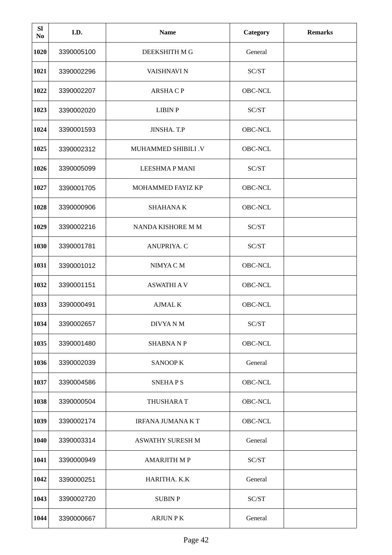| <b>SI</b><br>No | I.D.       | <b>Name</b>                | <b>Category</b> | <b>Remarks</b> |
|-----------------|------------|----------------------------|-----------------|----------------|
| 1020            | 3390005100 | DEEKSHITH M G              | General         |                |
| 1021            | 3390002296 | <b>VAISHNAVI N</b>         | SC/ST           |                |
| 1022            | 3390002207 | <b>ARSHACP</b>             | OBC-NCL         |                |
| 1023            | 3390002020 | <b>LIBIN P</b>             | SC/ST           |                |
| 1024            | 3390001593 | JINSHA. T.P                | OBC-NCL         |                |
| 1025            | 3390002312 | <b>MUHAMMED SHIBILI .V</b> | OBC-NCL         |                |
| 1026            | 3390005099 | <b>LEESHMAP MANI</b>       | SC/ST           |                |
| 1027            | 3390001705 | <b>MOHAMMED FAYIZ KP</b>   | OBC-NCL         |                |
| 1028            | 3390000906 | <b>SHAHANAK</b>            | OBC-NCL         |                |
| 1029            | 3390002216 | NANDA KISHORE M M          | SC/ST           |                |
| 1030            | 3390001781 | ANUPRIYA. C                | SC/ST           |                |
| 1031            | 3390001012 | NIMYA C M                  | OBC-NCL         |                |
| 1032            | 3390001151 | <b>ASWATHI A V</b>         | OBC-NCL         |                |
| 1033            | 3390000491 | <b>AJMAL K</b>             | OBC-NCL         |                |
| 1034            | 3390002657 | DIVYA N M                  | SC/ST           |                |
| 1035            | 3390001480 | <b>SHABNANP</b>            | OBC-NCL         |                |
| 1036            | 3390002039 | <b>SANOOPK</b>             | General         |                |
| 1037            | 3390004586 | <b>SNEHAPS</b>             | OBC-NCL         |                |
| 1038            | 3390000504 | THUSHARA T                 | OBC-NCL         |                |
| 1039            | 3390002174 | <b>IRFANA JUMANA K T</b>   | OBC-NCL         |                |
| 1040            | 3390003314 | <b>ASWATHY SURESH M</b>    | General         |                |
| 1041            | 3390000949 | <b>AMARJITH MP</b>         | SC/ST           |                |
| 1042            | 3390000251 | HARITHA. K.K               | General         |                |
| 1043            | 3390002720 | <b>SUBINP</b>              | SC/ST           |                |
| 1044            | 3390000667 | <b>ARJUN PK</b>            | General         |                |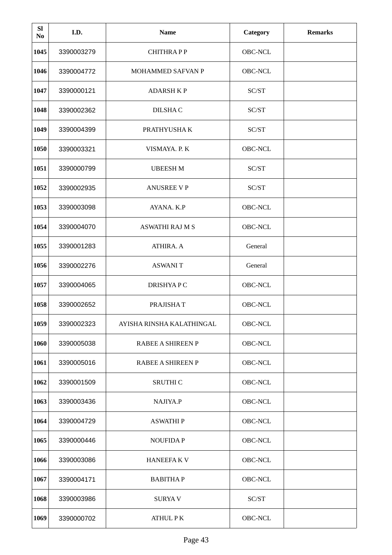| <b>SI</b><br>N <sub>0</sub> | I.D.       | <b>Name</b>               | <b>Category</b> | <b>Remarks</b> |
|-----------------------------|------------|---------------------------|-----------------|----------------|
| 1045                        | 3390003279 | <b>CHITHRAPP</b>          | OBC-NCL         |                |
| 1046                        | 3390004772 | MOHAMMED SAFVAN P         | OBC-NCL         |                |
| 1047                        | 3390000121 | <b>ADARSH KP</b>          | SC/ST           |                |
| 1048                        | 3390002362 | DILSHA C                  | SC/ST           |                |
| 1049                        | 3390004399 | PRATHYUSHA K              | SC/ST           |                |
| 1050                        | 3390003321 | VISMAYA. P. K             | OBC-NCL         |                |
| 1051                        | 3390000799 | <b>UBEESH M</b>           | SC/ST           |                |
| 1052                        | 3390002935 | <b>ANUSREE V P</b>        | SC/ST           |                |
| 1053                        | 3390003098 | AYANA. K.P                | OBC-NCL         |                |
| 1054                        | 3390004070 | <b>ASWATHI RAJ M S</b>    | OBC-NCL         |                |
| 1055                        | 3390001283 | ATHIRA. A                 | General         |                |
| 1056                        | 3390002276 | <b>ASWANIT</b>            | General         |                |
| 1057                        | 3390004065 | DRISHYA P C               | OBC-NCL         |                |
| 1058                        | 3390002652 | PRAJISHAT                 | OBC-NCL         |                |
| 1059                        | 3390002323 | AYISHA RINSHA KALATHINGAL | OBC-NCL         |                |
| 1060                        | 3390005038 | RABEE A SHIREEN P         | OBC-NCL         |                |
| 1061                        | 3390005016 | RABEE A SHIREEN P         | OBC-NCL         |                |
| 1062                        | 3390001509 | <b>SRUTHI C</b>           | OBC-NCL         |                |
| 1063                        | 3390003436 | NAJIYA.P                  | OBC-NCL         |                |
| 1064                        | 3390004729 | <b>ASWATHIP</b>           | OBC-NCL         |                |
| 1065                        | 3390000446 | <b>NOUFIDAP</b>           | OBC-NCL         |                |
| 1066                        | 3390003086 | <b>HANEEFAKV</b>          | OBC-NCL         |                |
| 1067                        | 3390004171 | <b>BABITHAP</b>           | OBC-NCL         |                |
| 1068                        | 3390003986 | <b>SURYAV</b>             | SC/ST           |                |
| 1069                        | 3390000702 | <b>ATHUL PK</b>           | OBC-NCL         |                |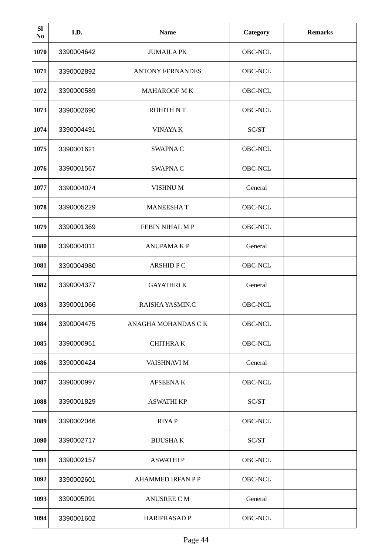| <b>SI</b><br>No | I.D.       | <b>Name</b>              | Category       | <b>Remarks</b> |
|-----------------|------------|--------------------------|----------------|----------------|
| 1070            | 3390004642 | <b>JUMAILA PK</b>        | OBC-NCL        |                |
| 1071            | 3390002892 | <b>ANTONY FERNANDES</b>  | OBC-NCL        |                |
| 1072            | 3390000589 | <b>MAHAROOF MK</b>       | OBC-NCL        |                |
| 1073            | 3390002690 | <b>ROHITH NT</b>         | OBC-NCL        |                |
| 1074            | 3390004491 | <b>VINAYA K</b>          | SC/ST          |                |
| 1075            | 3390001621 | <b>SWAPNAC</b>           | OBC-NCL        |                |
| 1076            | 3390001567 | <b>SWAPNAC</b>           | <b>OBC-NCL</b> |                |
| 1077            | 3390004074 | <b>VISHNUM</b>           | General        |                |
| 1078            | 3390005229 | <b>MANEESHAT</b>         | OBC-NCL        |                |
| 1079            | 3390001369 | FEBIN NIHAL M P          | OBC-NCL        |                |
| 1080            | 3390004011 | <b>ANUPAMAKP</b>         | General        |                |
| 1081            | 3390004980 | <b>ARSHIDPC</b>          | OBC-NCL        |                |
| 1082            | 3390004377 | <b>GAYATHRIK</b>         | General        |                |
| 1083            | 3390001066 | RAISHA YASMIN.C          | OBC-NCL        |                |
| 1084            | 3390004475 | ANAGHA MOHANDAS C K      | OBC-NCL        |                |
| 1085            | 3390000951 | <b>CHITHRAK</b>          | OBC-NCL        |                |
| 1086            | 3390000424 | VAISHNAVI M              | General        |                |
| 1087            | 3390000997 | <b>AFSEENAK</b>          | OBC-NCL        |                |
| 1088            | 3390001829 | <b>ASWATHI KP</b>        | SC/ST          |                |
| 1089            | 3390002046 | <b>RIYAP</b>             | OBC-NCL        |                |
| 1090            | 3390002717 | <b>BIJUSHAK</b>          | SC/ST          |                |
| 1091            | 3390002157 | <b>ASWATHIP</b>          | OBC-NCL        |                |
| 1092            | 3390002601 | <b>AHAMMED IRFAN P P</b> | OBC-NCL        |                |
| 1093            | 3390005091 | <b>ANUSREE C M</b>       | General        |                |
| 1094            | 3390001602 | <b>HARIPRASAD P</b>      | OBC-NCL        |                |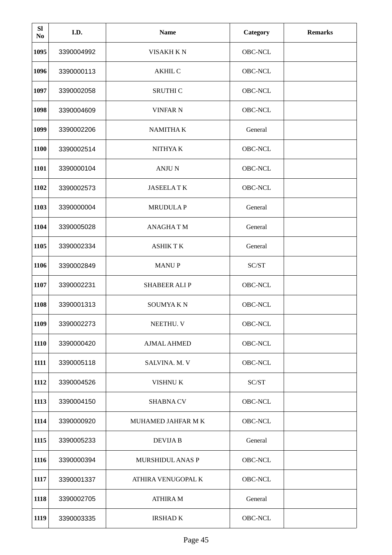| <b>SI</b><br>N <sub>0</sub> | I.D.       | <b>Name</b>             | <b>Category</b> | <b>Remarks</b> |
|-----------------------------|------------|-------------------------|-----------------|----------------|
| 1095                        | 3390004992 | <b>VISAKH KN</b>        | OBC-NCL         |                |
| 1096                        | 3390000113 | <b>AKHIL C</b>          | OBC-NCL         |                |
| 1097                        | 3390002058 | SRUTHI C                | OBC-NCL         |                |
| 1098                        | 3390004609 | <b>VINFAR N</b>         | OBC-NCL         |                |
| 1099                        | 3390002206 | <b>NAMITHAK</b>         | General         |                |
| 1100                        | 3390002514 | NITHYA K                | OBC-NCL         |                |
| 1101                        | 3390000104 | <b>ANJUN</b>            | OBC-NCL         |                |
| 1102                        | 3390002573 | <b>JASEELATK</b>        | OBC-NCL         |                |
| 1103                        | 3390000004 | <b>MRUDULAP</b>         | General         |                |
| 1104                        | 3390005028 | <b>ANAGHATM</b>         | General         |                |
| 1105                        | 3390002334 | <b>ASHIKTK</b>          | General         |                |
| 1106                        | 3390002849 | <b>MANUP</b>            | SC/ST           |                |
| 1107                        | 3390002231 | <b>SHABEER ALIP</b>     | OBC-NCL         |                |
| 1108                        | 3390001313 | <b>SOUMYAKN</b>         | OBC-NCL         |                |
| 1109                        | 3390002273 | NEETHU. V               | OBC-NCL         |                |
| 1110                        | 3390000420 | <b>AJMAL AHMED</b>      | OBC-NCL         |                |
| 1111                        | 3390005118 | SALVINA. M. V           | OBC-NCL         |                |
| 1112                        | 3390004526 | VISHNU K                | SC/ST           |                |
| 1113                        | 3390004150 | <b>SHABNA CV</b>        | OBC-NCL         |                |
| 1114                        | 3390000920 | MUHAMED JAHFAR M K      | OBC-NCL         |                |
| 1115                        | 3390005233 | <b>DEVIJAB</b>          | General         |                |
| 1116                        | 3390000394 | <b>MURSHIDUL ANAS P</b> | OBC-NCL         |                |
| 1117                        | 3390001337 | ATHIRA VENUGOPAL K      | OBC-NCL         |                |
| 1118                        | 3390002705 | <b>ATHIRA M</b>         | General         |                |
| 1119                        | 3390003335 | <b>IRSHAD K</b>         | OBC-NCL         |                |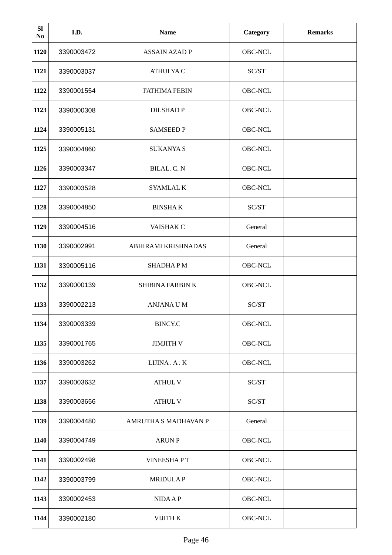| <b>SI</b><br>No | I.D.       | <b>Name</b>             | <b>Category</b> | <b>Remarks</b> |
|-----------------|------------|-------------------------|-----------------|----------------|
| 1120            | 3390003472 | <b>ASSAIN AZAD P</b>    | OBC-NCL         |                |
| 1121            | 3390003037 | <b>ATHULYA C</b>        | SC/ST           |                |
| 1122            | 3390001554 | <b>FATHIMA FEBIN</b>    | OBC-NCL         |                |
| 1123            | 3390000308 | <b>DILSHADP</b>         | OBC-NCL         |                |
| 1124            | 3390005131 | <b>SAMSEED P</b>        | OBC-NCL         |                |
| 1125            | 3390004860 | <b>SUKANYA S</b>        | OBC-NCL         |                |
| 1126            | 3390003347 | BILAL. C. N             | OBC-NCL         |                |
| 1127            | 3390003528 | <b>SYAMLAL K</b>        | OBC-NCL         |                |
| 1128            | 3390004850 | <b>BINSHAK</b>          | SC/ST           |                |
| 1129            | 3390004516 | VAISHAK C               | General         |                |
| 1130            | 3390002991 | ABHIRAMI KRISHNADAS     | General         |                |
| 1131            | 3390005116 | <b>SHADHAPM</b>         | OBC-NCL         |                |
| 1132            | 3390000139 | <b>SHIBINA FARBIN K</b> | OBC-NCL         |                |
| 1133            | 3390002213 | <b>ANJANA U M</b>       | SC/ST           |                |
| 1134            | 3390003339 | <b>BINCY.C</b>          | OBC-NCL         |                |
| 1135            | 3390001765 | <b>JIMJITH V</b>        | OBC-NCL         |                |
| 1136            | 3390003262 | LIJINA.A.K              | OBC-NCL         |                |
| 1137            | 3390003632 | <b>ATHUL V</b>          | SC/ST           |                |
| 1138            | 3390003656 | <b>ATHUL V</b>          | SC/ST           |                |
| 1139            | 3390004480 | AMRUTHA S MADHAVAN P    | General         |                |
| 1140            | 3390004749 | <b>ARUN P</b>           | OBC-NCL         |                |
| 1141            | 3390002498 | <b>VINEESHAPT</b>       | OBC-NCL         |                |
| 1142            | 3390003799 | <b>MRIDULAP</b>         | OBC-NCL         |                |
| 1143            | 3390002453 | <b>NIDAAP</b>           | OBC-NCL         |                |
| 1144            | 3390002180 | VIJITH K                | OBC-NCL         |                |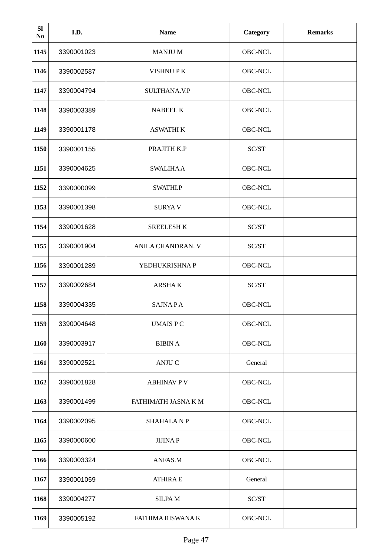| <b>SI</b><br>N <sub>0</sub> | I.D.       | <b>Name</b>              | <b>Category</b> | <b>Remarks</b> |
|-----------------------------|------------|--------------------------|-----------------|----------------|
| 1145                        | 3390001023 | <b>MANJU M</b>           | OBC-NCL         |                |
| 1146                        | 3390002587 | <b>VISHNUPK</b>          | OBC-NCL         |                |
| 1147                        | 3390004794 | SULTHANA.V.P             | OBC-NCL         |                |
| 1148                        | 3390003389 | <b>NABEEL K</b>          | OBC-NCL         |                |
| 1149                        | 3390001178 | <b>ASWATHI K</b>         | OBC-NCL         |                |
| 1150                        | 3390001155 | PRAJITH K.P              | SC/ST           |                |
| 1151                        | 3390004625 | <b>SWALIHAA</b>          | OBC-NCL         |                |
| 1152                        | 3390000099 | SWATHI.P                 | OBC-NCL         |                |
| 1153                        | 3390001398 | <b>SURYAV</b>            | OBC-NCL         |                |
| 1154                        | 3390001628 | <b>SREELESH K</b>        | SC/ST           |                |
| 1155                        | 3390001904 | ANILA CHANDRAN. V        | SC/ST           |                |
| 1156                        | 3390001289 | YEDHUKRISHNA P           | OBC-NCL         |                |
| 1157                        | 3390002684 | ARSHA K                  | SC/ST           |                |
| 1158                        | 3390004335 | <b>SAJNAPA</b>           | OBC-NCL         |                |
| 1159                        | 3390004648 | <b>UMAIS PC</b>          | OBC-NCL         |                |
| 1160                        | 3390003917 | <b>BIBIN A</b>           | OBC-NCL         |                |
| 1161                        | 3390002521 | <b>ANJU C</b>            | General         |                |
| 1162                        | 3390001828 | <b>ABHINAV P V</b>       | OBC-NCL         |                |
| 1163                        | 3390001499 | FATHIMATH JASNA K M      | OBC-NCL         |                |
| 1164                        | 3390002095 | <b>SHAHALANP</b>         | OBC-NCL         |                |
| 1165                        | 3390000600 | <b>JIJINAP</b>           | OBC-NCL         |                |
| 1166                        | 3390003324 | ANFAS.M                  | OBC-NCL         |                |
| 1167                        | 3390001059 | <b>ATHIRA E</b>          | General         |                |
| 1168                        | 3390004277 | <b>SILPAM</b>            | SC/ST           |                |
| 1169                        | 3390005192 | <b>FATHIMA RISWANA K</b> | OBC-NCL         |                |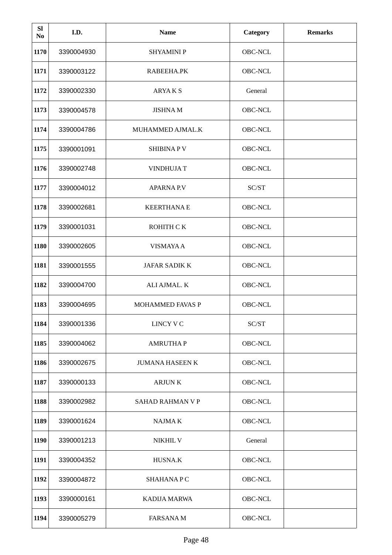| <b>SI</b><br>N <sub>0</sub> | I.D.       | <b>Name</b>            | Category | <b>Remarks</b> |
|-----------------------------|------------|------------------------|----------|----------------|
| 1170                        | 3390004930 | <b>SHYAMINIP</b>       | OBC-NCL  |                |
| 1171                        | 3390003122 | RABEEHA.PK             | OBC-NCL  |                |
| 1172                        | 3390002330 | <b>ARYAKS</b>          | General  |                |
| 1173                        | 3390004578 | <b>JISHNAM</b>         | OBC-NCL  |                |
| 1174                        | 3390004786 | MUHAMMED AJMAL.K       | OBC-NCL  |                |
| 1175                        | 3390001091 | <b>SHIBINAPV</b>       | OBC-NCL  |                |
| 1176                        | 3390002748 | <b>VINDHUJAT</b>       | OBC-NCL  |                |
| 1177                        | 3390004012 | <b>APARNA P.V</b>      | SC/ST    |                |
| 1178                        | 3390002681 | <b>KEERTHANAE</b>      | OBC-NCL  |                |
| 1179                        | 3390001031 | ROHITH CK              | OBC-NCL  |                |
| 1180                        | 3390002605 | <b>VISMAYAA</b>        | OBC-NCL  |                |
| 1181                        | 3390001555 | <b>JAFAR SADIK K</b>   | OBC-NCL  |                |
| 1182                        | 3390004700 | ALI AJMAL. K           | OBC-NCL  |                |
| 1183                        | 3390004695 | MOHAMMED FAVAS P       | OBC-NCL  |                |
| 1184                        | 3390001336 | LINCY V C              | SC/ST    |                |
| 1185                        | 3390004062 | <b>AMRUTHAP</b>        | OBC-NCL  |                |
| 1186                        | 3390002675 | <b>JUMANA HASEEN K</b> | OBC-NCL  |                |
| 1187                        | 3390000133 | <b>ARJUNK</b>          | OBC-NCL  |                |
| 1188                        | 3390002982 | SAHAD RAHMAN V P       | OBC-NCL  |                |
| 1189                        | 3390001624 | <b>NAJMAK</b>          | OBC-NCL  |                |
| 1190                        | 3390001213 | NIKHIL V               | General  |                |
| 1191                        | 3390004352 | HUSNA.K                | OBC-NCL  |                |
| 1192                        | 3390004872 | <b>SHAHANAPC</b>       | OBC-NCL  |                |
| 1193                        | 3390000161 | KADIJA MARWA           | OBC-NCL  |                |
| 1194                        | 3390005279 | <b>FARSANAM</b>        | OBC-NCL  |                |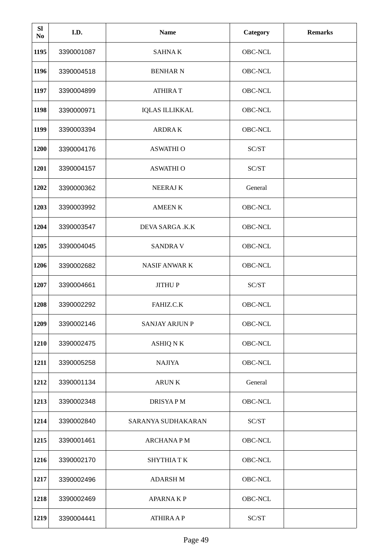| <b>SI</b><br>No | I.D.       | <b>Name</b>           | Category | <b>Remarks</b> |
|-----------------|------------|-----------------------|----------|----------------|
| 1195            | 3390001087 | <b>SAHNAK</b>         | OBC-NCL  |                |
| 1196            | 3390004518 | <b>BENHAR N</b>       | OBC-NCL  |                |
| 1197            | 3390004899 | <b>ATHIRAT</b>        | OBC-NCL  |                |
| 1198            | 3390000971 | <b>IQLAS ILLIKKAL</b> | OBC-NCL  |                |
| 1199            | 3390003394 | <b>ARDRAK</b>         | OBC-NCL  |                |
| 1200            | 3390004176 | <b>ASWATHI O</b>      | SC/ST    |                |
| 1201            | 3390004157 | <b>ASWATHI O</b>      | SC/ST    |                |
| 1202            | 3390000362 | <b>NEERAJK</b>        | General  |                |
| 1203            | 3390003992 | <b>AMEEN K</b>        | OBC-NCL  |                |
| 1204            | 3390003547 | DEVA SARGA .K.K       | OBC-NCL  |                |
| 1205            | 3390004045 | <b>SANDRAV</b>        | OBC-NCL  |                |
| 1206            | 3390002682 | <b>NASIF ANWARK</b>   | OBC-NCL  |                |
| 1207            | 3390004661 | <b>JITHUP</b>         | SC/ST    |                |
| 1208            | 3390002292 | FAHIZ.C.K             | OBC-NCL  |                |
| 1209            | 3390002146 | <b>SANJAY ARJUN P</b> | OBC-NCL  |                |
| 1210            | 3390002475 | ASHIQ N K             | OBC-NCL  |                |
| 1211            | 3390005258 | <b>NAJIYA</b>         | OBC-NCL  |                |
| 1212            | 3390001134 | <b>ARUNK</b>          | General  |                |
| 1213            | 3390002348 | DRISYA P M            | OBC-NCL  |                |
| 1214            | 3390002840 | SARANYA SUDHAKARAN    | SC/ST    |                |
| 1215            | 3390001461 | <b>ARCHANAPM</b>      | OBC-NCL  |                |
| 1216            | 3390002170 | <b>SHYTHIATK</b>      | OBC-NCL  |                |
| 1217            | 3390002496 | <b>ADARSH M</b>       | OBC-NCL  |                |
| 1218            | 3390002469 | <b>APARNAKP</b>       | OBC-NCL  |                |
| 1219            | 3390004441 | <b>ATHIRA A P</b>     | SC/ST    |                |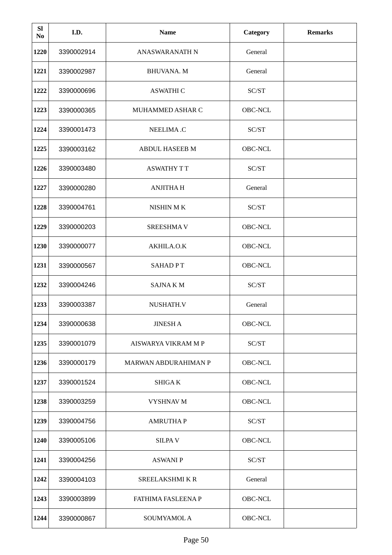| <b>SI</b><br>No | I.D.       | <b>Name</b>                 | Category       | <b>Remarks</b> |
|-----------------|------------|-----------------------------|----------------|----------------|
| 1220            | 3390002914 | <b>ANASWARANATH N</b>       | General        |                |
| 1221            | 3390002987 | <b>BHUVANA. M</b>           | General        |                |
| 1222            | 3390000696 | <b>ASWATHI C</b>            | SC/ST          |                |
| 1223            | 3390000365 | MUHAMMED ASHAR C            | OBC-NCL        |                |
| 1224            | 3390001473 | <b>NEELIMA.C</b>            | SC/ST          |                |
| 1225            | 3390003162 | <b>ABDUL HASEEB M</b>       | OBC-NCL        |                |
| 1226            | 3390003480 | <b>ASWATHY TT</b>           | SC/ST          |                |
| 1227            | 3390000280 | <b>ANJITHAH</b>             | General        |                |
| 1228            | 3390004761 | NISHIN MK                   | SC/ST          |                |
| 1229            | 3390000203 | <b>SREESHMAV</b>            | OBC-NCL        |                |
| 1230            | 3390000077 | AKHILA.O.K                  | <b>OBC-NCL</b> |                |
| 1231            | 3390000567 | <b>SAHADPT</b>              | OBC-NCL        |                |
| 1232            | 3390004246 | <b>SAJNAKM</b>              | SC/ST          |                |
| 1233            | 3390003387 | NUSHATH.V                   | General        |                |
| 1234            | 3390000638 | <b>JINESH A</b>             | OBC-NCL        |                |
| 1235            | 3390001079 | AISWARYA VIKRAM M P         | SC/ST          |                |
| 1236            | 3390000179 | <b>MARWAN ABDURAHIMAN P</b> | OBC-NCL        |                |
| 1237            | 3390001524 | SHIGA K                     | OBC-NCL        |                |
| 1238            | 3390003259 | VYSHNAV M                   | OBC-NCL        |                |
| 1239            | 3390004756 | <b>AMRUTHAP</b>             | SC/ST          |                |
| 1240            | 3390005106 | <b>SILPAV</b>               | OBC-NCL        |                |
| 1241            | 3390004256 | <b>ASWANIP</b>              | SC/ST          |                |
| 1242            | 3390004103 | SREELAKSHMI K R             | General        |                |
| 1243            | 3390003899 | <b>FATHIMA FASLEENA P</b>   | OBC-NCL        |                |
| 1244            | 3390000867 | SOUMYAMOL A                 | OBC-NCL        |                |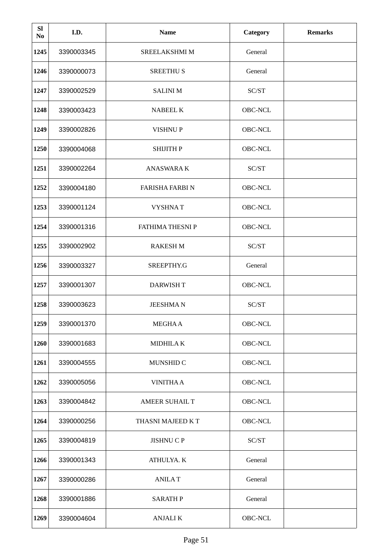| <b>SI</b><br>No | I.D.       | <b>Name</b>            | <b>Category</b>                                                   | <b>Remarks</b> |
|-----------------|------------|------------------------|-------------------------------------------------------------------|----------------|
| 1245            | 3390003345 | SREELAKSHMI M          | General                                                           |                |
| 1246            | 3390000073 | <b>SREETHUS</b>        | General                                                           |                |
| 1247            | 3390002529 | <b>SALINI M</b>        | $\ensuremath{\mathsf{SC}}\xspace/\ensuremath{\mathsf{ST}}\xspace$ |                |
| 1248            | 3390003423 | <b>NABEEL K</b>        | OBC-NCL                                                           |                |
| 1249            | 3390002826 | <b>VISHNUP</b>         | OBC-NCL                                                           |                |
| 1250            | 3390004068 | SHIJITH P              | OBC-NCL                                                           |                |
| 1251            | 3390002264 | <b>ANASWARA K</b>      | SC/ST                                                             |                |
| 1252            | 3390004180 | <b>FARISHA FARBI N</b> | OBC-NCL                                                           |                |
| 1253            | 3390001124 | <b>VYSHNAT</b>         | OBC-NCL                                                           |                |
| 1254            | 3390001316 | FATHIMA THESNI P       | OBC-NCL                                                           |                |
| 1255            | 3390002902 | <b>RAKESH M</b>        | SC/ST                                                             |                |
| 1256            | 3390003327 | SREEPTHY.G             | General                                                           |                |
| 1257            | 3390001307 | <b>DARWISH T</b>       | OBC-NCL                                                           |                |
| 1258            | 3390003623 | <b>JEESHMAN</b>        | SC/ST                                                             |                |
| 1259            | 3390001370 | <b>MEGHAA</b>          | OBC-NCL                                                           |                |
| 1260            | 3390001683 | <b>MIDHILAK</b>        | OBC-NCL                                                           |                |
| 1261            | 3390004555 | MUNSHID C              | OBC-NCL                                                           |                |
| 1262            | 3390005056 | <b>VINITHAA</b>        | OBC-NCL                                                           |                |
| 1263            | 3390004842 | AMEER SUHAIL T         | OBC-NCL                                                           |                |
| 1264            | 3390000256 | THASNI MAJEED K T      | OBC-NCL                                                           |                |
| 1265            | 3390004819 | JISHNU C P             | SC/ST                                                             |                |
| 1266            | 3390001343 | ATHULYA. K             | General                                                           |                |
| 1267            | 3390000286 | <b>ANILAT</b>          | General                                                           |                |
| 1268            | 3390001886 | <b>SARATH P</b>        | General                                                           |                |
| 1269            | 3390004604 | <b>ANJALIK</b>         | OBC-NCL                                                           |                |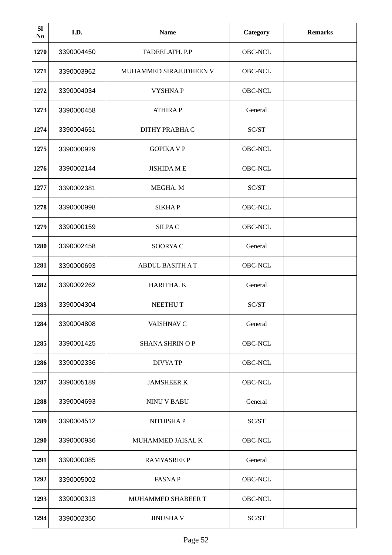| <b>SI</b><br>No | I.D.       | <b>Name</b>            | Category       | <b>Remarks</b> |
|-----------------|------------|------------------------|----------------|----------------|
| 1270            | 3390004450 | FADEELATH. P.P         | OBC-NCL        |                |
| 1271            | 3390003962 | MUHAMMED SIRAJUDHEEN V | OBC-NCL        |                |
| 1272            | 3390004034 | <b>VYSHNAP</b>         | OBC-NCL        |                |
| 1273            | 3390000458 | <b>ATHIRAP</b>         | General        |                |
| 1274            | 3390004651 | DITHY PRABHA C         | SC/ST          |                |
| 1275            | 3390000929 | <b>GOPIKA V P</b>      | OBC-NCL        |                |
| 1276            | 3390002144 | <b>JISHIDA ME</b>      | OBC-NCL        |                |
| 1277            | 3390002381 | MEGHA. M               | SC/ST          |                |
| 1278            | 3390000998 | <b>SIKHAP</b>          | <b>OBC-NCL</b> |                |
| 1279            | 3390000159 | <b>SILPAC</b>          | OBC-NCL        |                |
| 1280            | 3390002458 | SOORYA C               | General        |                |
| 1281            | 3390000693 | <b>ABDUL BASITH AT</b> | OBC-NCL        |                |
| 1282            | 3390002262 | HARITHA. K             | General        |                |
| 1283            | 3390004304 | NEETHU T               | SC/ST          |                |
| 1284            | 3390004808 | VAISHNAV C             | General        |                |
| 1285            | 3390001425 | <b>SHANA SHRIN O P</b> | OBC-NCL        |                |
| 1286            | 3390002336 | <b>DIVYA TP</b>        | OBC-NCL        |                |
| 1287            | 3390005189 | <b>JAMSHEER K</b>      | OBC-NCL        |                |
| 1288            | 3390004693 | <b>NINU V BABU</b>     | General        |                |
| 1289            | 3390004512 | NITHISHAP              | SC/ST          |                |
| 1290            | 3390000936 | MUHAMMED JAISAL K      | OBC-NCL        |                |
| 1291            | 3390000085 | <b>RAMYASREE P</b>     | General        |                |
| 1292            | 3390005002 | <b>FASNAP</b>          | OBC-NCL        |                |
| 1293            | 3390000313 | MUHAMMED SHABEER T     | OBC-NCL        |                |
| 1294            | 3390002350 | <b>JINUSHAV</b>        | SC/ST          |                |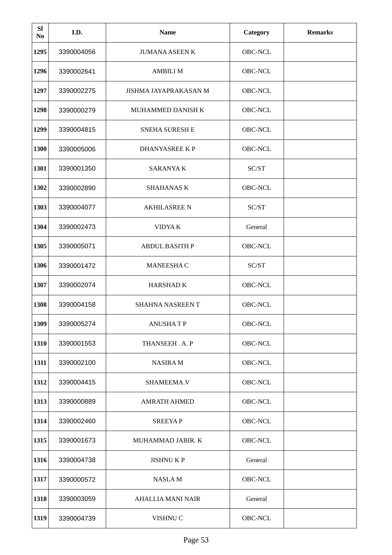| <b>SI</b><br>No | I.D.       | <b>Name</b>              | Category       | <b>Remarks</b> |
|-----------------|------------|--------------------------|----------------|----------------|
| 1295            | 3390004056 | <b>JUMANA ASEEN K</b>    | OBC-NCL        |                |
| 1296            | 3390002641 | <b>AMBILI M</b>          | OBC-NCL        |                |
| 1297            | 3390002275 | JISHMA JAYAPRAKASAN M    | OBC-NCL        |                |
| 1298            | 3390000279 | <b>MUHAMMED DANISH K</b> | <b>OBC-NCL</b> |                |
| 1299            | 3390004815 | <b>SNEHA SURESH E</b>    | OBC-NCL        |                |
| 1300            | 3390005006 | DHANYASREE K P           | OBC-NCL        |                |
| 1301            | 3390001350 | <b>SARANYAK</b>          | SC/ST          |                |
| 1302            | 3390002890 | <b>SHAHANAS K</b>        | OBC-NCL        |                |
| 1303            | 3390004077 | <b>AKHILASREE N</b>      | SC/ST          |                |
| 1304            | 3390002473 | VIDYA K                  | General        |                |
| 1305            | 3390005071 | <b>ABDUL BASITH P</b>    | <b>OBC-NCL</b> |                |
| 1306            | 3390001472 | <b>MANEESHAC</b>         | SC/ST          |                |
| 1307            | 3390002074 | <b>HARSHADK</b>          | OBC-NCL        |                |
| 1308            | 3390004158 | <b>SHAHNA NASREEN T</b>  | OBC-NCL        |                |
| 1309            | 3390005274 | <b>ANUSHATP</b>          | OBC-NCL        |                |
| 1310            | 3390001553 | THANSEEH.A.P             | OBC-NCL        |                |
| 1311            | 3390002100 | <b>NASIRAM</b>           | OBC-NCL        |                |
| 1312            | 3390004415 | SHAMEEMA.V               | OBC-NCL        |                |
| 1313            | 3390000889 | <b>AMRATH AHMED</b>      | OBC-NCL        |                |
| 1314            | 3390002460 | <b>SREEYAP</b>           | OBC-NCL        |                |
| 1315            | 3390001673 | MUHAMMAD JABIR. K        | OBC-NCL        |                |
| 1316            | 3390004738 | <b>JISHNUKP</b>          | General        |                |
| 1317            | 3390000572 | NASLA M                  | OBC-NCL        |                |
| 1318            | 3390003059 | AHALLIA MANI NAIR        | General        |                |
| 1319            | 3390004739 | VISHNU C                 | OBC-NCL        |                |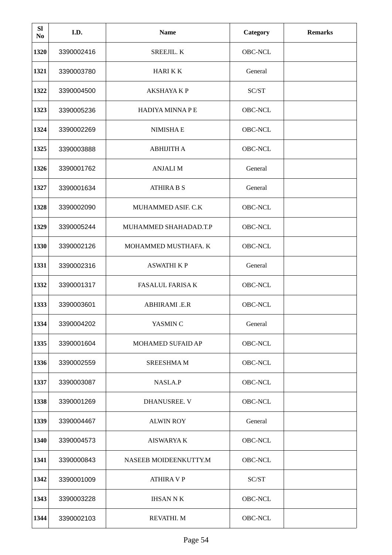| <b>SI</b><br>No | I.D.       | <b>Name</b>             | <b>Category</b> | <b>Remarks</b> |
|-----------------|------------|-------------------------|-----------------|----------------|
| 1320            | 3390002416 | SREEJIL. K              | OBC-NCL         |                |
| 1321            | 3390003780 | <b>HARI K K</b>         | General         |                |
| 1322            | 3390004500 | <b>AKSHAYA K P</b>      | SC/ST           |                |
| 1323            | 3390005236 | HADIYA MINNA P E        | OBC-NCL         |                |
| 1324            | 3390002269 | <b>NIMISHAE</b>         | OBC-NCL         |                |
| 1325            | 3390003888 | <b>ABHIJITH A</b>       | OBC-NCL         |                |
| 1326            | 3390001762 | <b>ANJALI M</b>         | General         |                |
| 1327            | 3390001634 | <b>ATHIRA B S</b>       | General         |                |
| 1328            | 3390002090 | MUHAMMED ASIF. C.K      | OBC-NCL         |                |
| 1329            | 3390005244 | MUHAMMED SHAHADAD.T.P   | OBC-NCL         |                |
| 1330            | 3390002126 | MOHAMMED MUSTHAFA. K    | <b>OBC-NCL</b>  |                |
| 1331            | 3390002316 | <b>ASWATHI K P</b>      | General         |                |
| 1332            | 3390001317 | <b>FASALUL FARISA K</b> | OBC-NCL         |                |
| 1333            | 3390003601 | ABHIRAMI .E.R           | OBC-NCL         |                |
| 1334            | 3390004202 | YASMIN C                | General         |                |
| 1335            | 3390001604 | MOHAMED SUFAID AP       | OBC-NCL         |                |
| 1336            | 3390002559 | <b>SREESHMAM</b>        | OBC-NCL         |                |
| 1337            | 3390003087 | NASLA.P                 | OBC-NCL         |                |
| 1338            | 3390001269 | DHANUSREE. V            | OBC-NCL         |                |
| 1339            | 3390004467 | <b>ALWIN ROY</b>        | General         |                |
| 1340            | 3390004573 | <b>AISWARYAK</b>        | OBC-NCL         |                |
| 1341            | 3390000843 | NASEEB MOIDEENKUTTY.M   | OBC-NCL         |                |
| 1342            | 3390001009 | <b>ATHIRA V P</b>       | SC/ST           |                |
| 1343            | 3390003228 | <b>IHSAN N K</b>        | OBC-NCL         |                |
| 1344            | 3390002103 | REVATHI. M              | OBC-NCL         |                |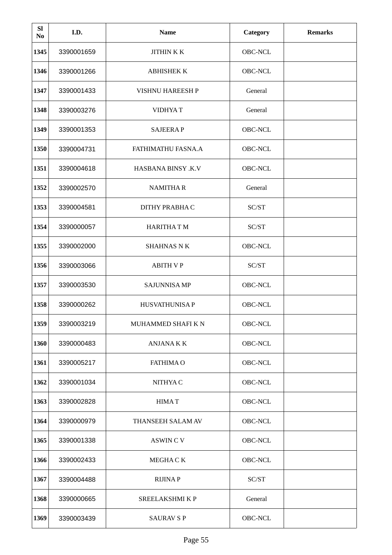| <b>SI</b><br>No | I.D.       | <b>Name</b>               | <b>Category</b> | <b>Remarks</b> |
|-----------------|------------|---------------------------|-----------------|----------------|
| 1345            | 3390001659 | <b>JITHINKK</b>           | OBC-NCL         |                |
| 1346            | 3390001266 | <b>ABHISHEK K</b>         | OBC-NCL         |                |
| 1347            | 3390001433 | VISHNU HAREESH P          | General         |                |
| 1348            | 3390003276 | <b>VIDHYAT</b>            | General         |                |
| 1349            | 3390001353 | <b>SAJEERAP</b>           | OBC-NCL         |                |
| 1350            | 3390004731 | FATHIMATHU FASNA.A        | OBC-NCL         |                |
| 1351            | 3390004618 | <b>HASBANA BINSY .K.V</b> | OBC-NCL         |                |
| 1352            | 3390002570 | <b>NAMITHAR</b>           | General         |                |
| 1353            | 3390004581 | DITHY PRABHA C            | SC/ST           |                |
| 1354            | 3390000057 | <b>HARITHATM</b>          | SC/ST           |                |
| 1355            | 3390002000 | <b>SHAHNAS N K</b>        | <b>OBC-NCL</b>  |                |
| 1356            | 3390003066 | <b>ABITH VP</b>           | SC/ST           |                |
| 1357            | 3390003530 | <b>SAJUNNISA MP</b>       | OBC-NCL         |                |
| 1358            | 3390000262 | <b>HUSVATHUNISA P</b>     | OBC-NCL         |                |
| 1359            | 3390003219 | MUHAMMED SHAFI K N        | OBC-NCL         |                |
| 1360            | 3390000483 | <b>ANJANAKK</b>           | OBC-NCL         |                |
| 1361            | 3390005217 | <b>FATHIMA O</b>          | OBC-NCL         |                |
| 1362            | 3390001034 | NITHYA C                  | OBC-NCL         |                |
| 1363            | 3390002828 | <b>HIMAT</b>              | OBC-NCL         |                |
| 1364            | 3390000979 | THANSEEH SALAM AV         | OBC-NCL         |                |
| 1365            | 3390001338 | <b>ASWIN C V</b>          | OBC-NCL         |                |
| 1366            | 3390002433 | MEGHA C K                 | OBC-NCL         |                |
| 1367            | 3390004488 | <b>RIJINAP</b>            | SC/ST           |                |
| 1368            | 3390000665 | SREELAKSHMI K P           | General         |                |
| 1369            | 3390003439 | <b>SAURAV S P</b>         | OBC-NCL         |                |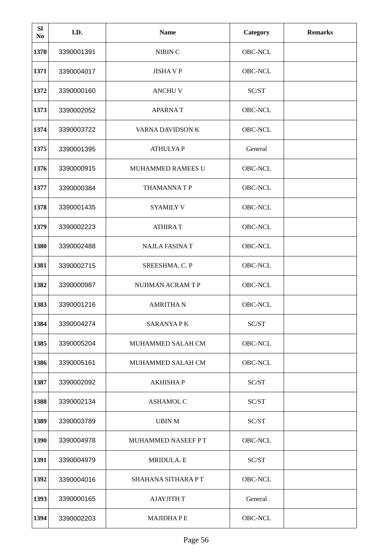| <b>SI</b><br>No | I.D.       | <b>Name</b>              | Category       | <b>Remarks</b> |
|-----------------|------------|--------------------------|----------------|----------------|
| 1370            | 3390001391 | NIBIN C                  | OBC-NCL        |                |
| 1371            | 3390004017 | <b>JISHAVP</b>           | OBC-NCL        |                |
| 1372            | 3390000160 | <b>ANCHUV</b>            | SC/ST          |                |
| 1373            | 3390002052 | <b>APARNAT</b>           | OBC-NCL        |                |
| 1374            | 3390003722 | VARNA DAVIDSON K         | OBC-NCL        |                |
| 1375            | 3390001395 | <b>ATHULYAP</b>          | General        |                |
| 1376            | 3390000915 | <b>MUHAMMED RAMEES U</b> | OBC-NCL        |                |
| 1377            | 3390000384 | <b>THAMANNATP</b>        | OBC-NCL        |                |
| 1378            | 3390001435 | <b>SYAMILY V</b>         | <b>OBC-NCL</b> |                |
| 1379            | 3390002223 | <b>ATHIRAT</b>           | OBC-NCL        |                |
| 1380            | 3390002488 | <b>NAJLA FASINA T</b>    | <b>OBC-NCL</b> |                |
| 1381            | 3390002715 | SREESHMA. C. P           | OBC-NCL        |                |
| 1382            | 3390000987 | NUHMAN ACRAM T P         | OBC-NCL        |                |
| 1383            | 3390001216 | <b>AMRITHAN</b>          | OBC-NCL        |                |
| 1384            | 3390004274 | <b>SARANYA PK</b>        | SC/ST          |                |
| 1385            | 3390005204 | MUHAMMED SALAH CM        | OBC-NCL        |                |
| 1386            | 3390005161 | MUHAMMED SALAH CM        | OBC-NCL        |                |
| 1387            | 3390002092 | <b>AKHISHAP</b>          | SC/ST          |                |
| 1388            | 3390002134 | <b>ASHAMOL C</b>         | SC/ST          |                |
| 1389            | 3390003789 | <b>UBIN M</b>            | SC/ST          |                |
| 1390            | 3390004978 | MUHAMMED NASEEF PT       | OBC-NCL        |                |
| 1391            | 3390004979 | MRIDULA. E               | SC/ST          |                |
| 1392            | 3390004016 | SHAHANA SITHARA PT       | OBC-NCL        |                |
| 1393            | 3390000165 | <b>AJAYJITH T</b>        | General        |                |
| 1394            | 3390002203 | <b>MAJIDHAPE</b>         | OBC-NCL        |                |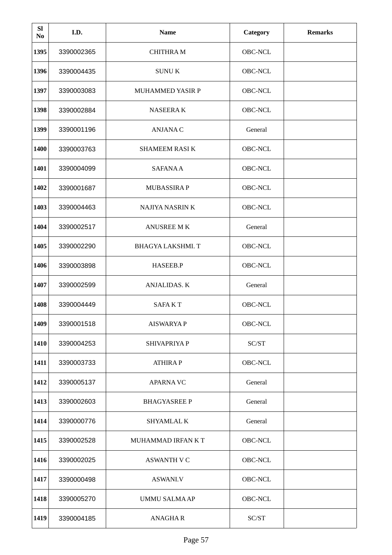| <b>SI</b><br>No | I.D.       | <b>Name</b>             | <b>Category</b> | <b>Remarks</b> |
|-----------------|------------|-------------------------|-----------------|----------------|
| 1395            | 3390002365 | <b>CHITHRAM</b>         | OBC-NCL         |                |
| 1396            | 3390004435 | <b>SUNUK</b>            | OBC-NCL         |                |
| 1397            | 3390003083 | <b>MUHAMMED YASIR P</b> | OBC-NCL         |                |
| 1398            | 3390002884 | <b>NASEERAK</b>         | OBC-NCL         |                |
| 1399            | 3390001196 | <b>ANJANAC</b>          | General         |                |
| 1400            | 3390003763 | <b>SHAMEEM RASIK</b>    | OBC-NCL         |                |
| 1401            | 3390004099 | <b>SAFANA A</b>         | OBC-NCL         |                |
| 1402            | 3390001687 | <b>MUBASSIRAP</b>       | OBC-NCL         |                |
| 1403            | 3390004463 | <b>NAJIYA NASRIN K</b>  | <b>OBC-NCL</b>  |                |
| 1404            | 3390002517 | <b>ANUSREE MK</b>       | General         |                |
| 1405            | 3390002290 | BHAGYA LAKSHMI. T       | <b>OBC-NCL</b>  |                |
| 1406            | 3390003898 | HASEEB.P                | OBC-NCL         |                |
| 1407            | 3390002599 | ANJALIDAS. K            | General         |                |
| 1408            | 3390004449 | <b>SAFAKT</b>           | OBC-NCL         |                |
| 1409            | 3390001518 | <b>AISWARYAP</b>        | OBC-NCL         |                |
| 1410            | 3390004253 | SHIVAPRIYA P            | SC/ST           |                |
| 1411            | 3390003733 | <b>ATHIRAP</b>          | OBC-NCL         |                |
| 1412            | 3390005137 | <b>APARNAVC</b>         | General         |                |
| 1413            | 3390002603 | <b>BHAGYASREE P</b>     | General         |                |
| 1414            | 3390000776 | SHYAMLAL K              | General         |                |
| 1415            | 3390002528 | MUHAMMAD IRFAN K T      | OBC-NCL         |                |
| 1416            | 3390002025 | <b>ASWANTH V C</b>      | OBC-NCL         |                |
| 1417            | 3390000498 | ASWANI.V                | OBC-NCL         |                |
| 1418            | 3390005270 | UMMU SALMA AP           | OBC-NCL         |                |
| 1419            | 3390004185 | <b>ANAGHAR</b>          | SC/ST           |                |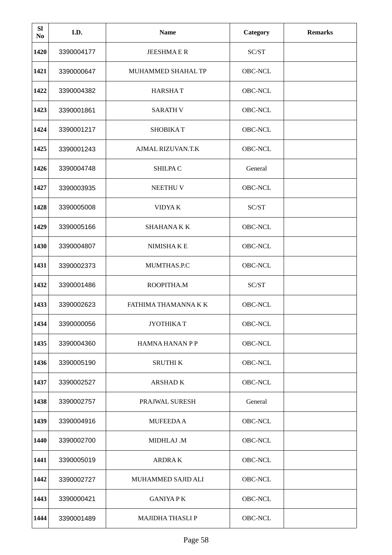| <b>SI</b><br>No | I.D.       | <b>Name</b>            | <b>Category</b> | <b>Remarks</b> |
|-----------------|------------|------------------------|-----------------|----------------|
| 1420            | 3390004177 | <b>JEESHMAER</b>       | SC/ST           |                |
| 1421            | 3390000647 | MUHAMMED SHAHAL TP     | OBC-NCL         |                |
| 1422            | 3390004382 | <b>HARSHAT</b>         | OBC-NCL         |                |
| 1423            | 3390001861 | <b>SARATH V</b>        | OBC-NCL         |                |
| 1424            | 3390001217 | <b>SHOBIKAT</b>        | OBC-NCL         |                |
| 1425            | 3390001243 | AJMAL RIZUVAN.T.K      | OBC-NCL         |                |
| 1426            | 3390004748 | SHILPA C               | General         |                |
| 1427            | 3390003935 | NEETHU V               | OBC-NCL         |                |
| 1428            | 3390005008 | <b>VIDYAK</b>          | SC/ST           |                |
| 1429            | 3390005166 | <b>SHAHANAKK</b>       | OBC-NCL         |                |
| 1430            | 3390004807 | NIMISHAKE              | OBC-NCL         |                |
| 1431            | 3390002373 | MUMTHAS.P.C            | OBC-NCL         |                |
| 1432            | 3390001486 | ROOPITHA.M             | SC/ST           |                |
| 1433            | 3390002623 | FATHIMA THAMANNA K K   | OBC-NCL         |                |
| 1434            | 3390000056 | <b>JYOTHIKAT</b>       | OBC-NCL         |                |
| 1435            | 3390004360 | <b>HAMNA HANAN P P</b> | OBC-NCL         |                |
| 1436            | 3390005190 | <b>SRUTHIK</b>         | OBC-NCL         |                |
| 1437            | 3390002527 | <b>ARSHADK</b>         | OBC-NCL         |                |
| 1438            | 3390002757 | PRAJWAL SURESH         | General         |                |
| 1439            | 3390004916 | <b>MUFEEDAA</b>        | OBC-NCL         |                |
| 1440            | 3390002700 | MIDHLAJ .M             | OBC-NCL         |                |
| 1441            | 3390005019 | <b>ARDRAK</b>          | OBC-NCL         |                |
| 1442            | 3390002727 | MUHAMMED SAJID ALI     | OBC-NCL         |                |
| 1443            | 3390000421 | <b>GANIYA PK</b>       | OBC-NCL         |                |
| 1444            | 3390001489 | MAJIDHA THASLI P       | OBC-NCL         |                |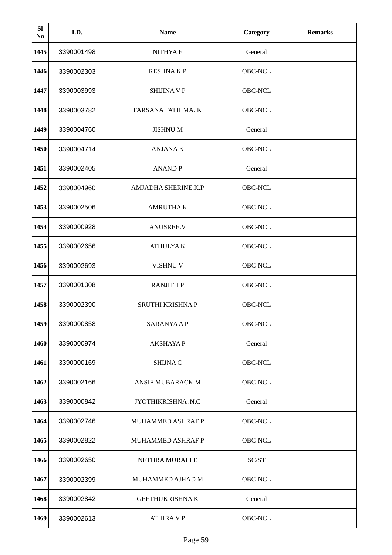| <b>SI</b><br>N <sub>0</sub> | I.D.       | <b>Name</b>               | <b>Category</b> | <b>Remarks</b> |
|-----------------------------|------------|---------------------------|-----------------|----------------|
| 1445                        | 3390001498 | <b>NITHYAE</b>            | General         |                |
| 1446                        | 3390002303 | <b>RESHNAKP</b>           | OBC-NCL         |                |
| 1447                        | 3390003993 | <b>SHIJINA V P</b>        | OBC-NCL         |                |
| 1448                        | 3390003782 | <b>FARSANA FATHIMA. K</b> | OBC-NCL         |                |
| 1449                        | 3390004760 | <b>JISHNUM</b>            | General         |                |
| 1450                        | 3390004714 | <b>ANJANAK</b>            | OBC-NCL         |                |
| 1451                        | 3390002405 | <b>ANANDP</b>             | General         |                |
| 1452                        | 3390004960 | AMJADHA SHERINE.K.P       | OBC-NCL         |                |
| 1453                        | 3390002506 | <b>AMRUTHAK</b>           | OBC-NCL         |                |
| 1454                        | 3390000928 | <b>ANUSREE.V</b>          | OBC-NCL         |                |
| 1455                        | 3390002656 | <b>ATHULYA K</b>          | <b>OBC-NCL</b>  |                |
| 1456                        | 3390002693 | VISHNU V                  | OBC-NCL         |                |
| 1457                        | 3390001308 | <b>RANJITH P</b>          | OBC-NCL         |                |
| 1458                        | 3390002390 | SRUTHI KRISHNA P          | OBC-NCL         |                |
| 1459                        | 3390000858 | <b>SARANYAAP</b>          | OBC-NCL         |                |
| 1460                        | 3390000974 | <b>AKSHAYAP</b>           | General         |                |
| 1461                        | 3390000169 | <b>SHIJNAC</b>            | OBC-NCL         |                |
| 1462                        | 3390002166 | <b>ANSIF MUBARACK M</b>   | OBC-NCL         |                |
| 1463                        | 3390000842 | JYOTHIKRISHNA.N.C         | General         |                |
| 1464                        | 3390002746 | <b>MUHAMMED ASHRAF P</b>  | OBC-NCL         |                |
| 1465                        | 3390002822 | MUHAMMED ASHRAF P         | OBC-NCL         |                |
| 1466                        | 3390002650 | NETHRA MURALI E           | SC/ST           |                |
| 1467                        | 3390002399 | MUHAMMED AJHAD M          | OBC-NCL         |                |
| 1468                        | 3390002842 | <b>GEETHUKRISHNAK</b>     | General         |                |
| 1469                        | 3390002613 | <b>ATHIRA V P</b>         | OBC-NCL         |                |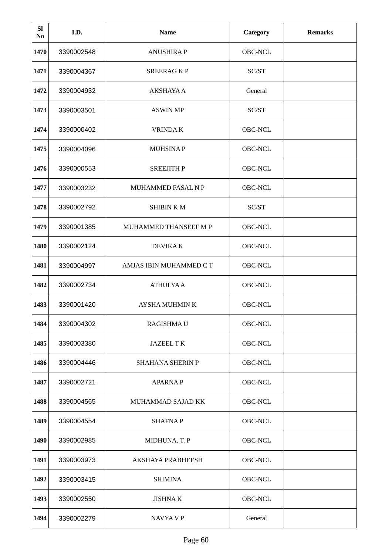| <b>SI</b><br>N <sub>0</sub> | I.D.       | <b>Name</b>                  | <b>Category</b> | <b>Remarks</b> |
|-----------------------------|------------|------------------------------|-----------------|----------------|
| 1470                        | 3390002548 | <b>ANUSHIRAP</b>             | OBC-NCL         |                |
| 1471                        | 3390004367 | <b>SREERAGKP</b>             | SC/ST           |                |
| 1472                        | 3390004932 | AKSHAYA A                    | General         |                |
| 1473                        | 3390003501 | <b>ASWIN MP</b>              | SC/ST           |                |
| 1474                        | 3390000402 | <b>VRINDAK</b>               | <b>OBC-NCL</b>  |                |
| 1475                        | 3390004096 | <b>MUHSINAP</b>              | OBC-NCL         |                |
| 1476                        | 3390000553 | <b>SREEJITH P</b>            | OBC-NCL         |                |
| 1477                        | 3390003232 | <b>MUHAMMED FASAL N P</b>    | OBC-NCL         |                |
| 1478                        | 3390002792 | <b>SHIBIN KM</b>             | SC/ST           |                |
| 1479                        | 3390001385 | <b>MUHAMMED THANSEEF M P</b> | OBC-NCL         |                |
| 1480                        | 3390002124 | <b>DEVIKAK</b>               | <b>OBC-NCL</b>  |                |
| 1481                        | 3390004997 | AMJAS IBIN MUHAMMED C T      | OBC-NCL         |                |
| 1482                        | 3390002734 | <b>ATHULYA A</b>             | OBC-NCL         |                |
| 1483                        | 3390001420 | <b>AYSHA MUHMIN K</b>        | OBC-NCL         |                |
| 1484                        | 3390004302 | <b>RAGISHMAU</b>             | OBC-NCL         |                |
| 1485                        | 3390003380 | <b>JAZEEL TK</b>             | OBC-NCL         |                |
| 1486                        | 3390004446 | SHAHANA SHERIN P             | OBC-NCL         |                |
| 1487                        | 3390002721 | <b>APARNAP</b>               | OBC-NCL         |                |
| 1488                        | 3390004565 | MUHAMMAD SAJAD KK            | OBC-NCL         |                |
| 1489                        | 3390004554 | <b>SHAFNAP</b>               | OBC-NCL         |                |
| 1490                        | 3390002985 | MIDHUNA. T. P                | OBC-NCL         |                |
| 1491                        | 3390003973 | AKSHAYA PRABHEESH            | OBC-NCL         |                |
| 1492                        | 3390003415 | <b>SHIMINA</b>               | OBC-NCL         |                |
| 1493                        | 3390002550 | <b>JISHNAK</b>               | OBC-NCL         |                |
| 1494                        | 3390002279 | NAVYA V P                    | General         |                |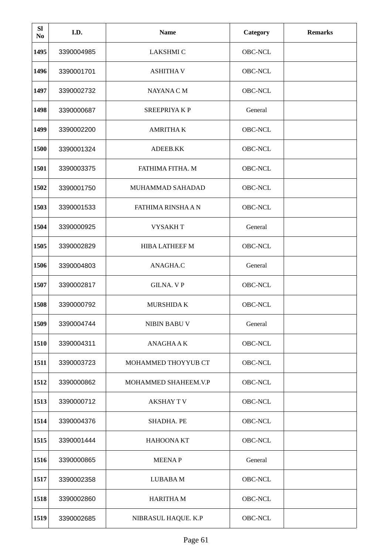| <b>SI</b><br>No | I.D.       | <b>Name</b>          | <b>Category</b> | <b>Remarks</b> |
|-----------------|------------|----------------------|-----------------|----------------|
| 1495            | 3390004985 | <b>LAKSHMI C</b>     | OBC-NCL         |                |
| 1496            | 3390001701 | <b>ASHITHA V</b>     | OBC-NCL         |                |
| 1497            | 3390002732 | NAYANA C M           | OBC-NCL         |                |
| 1498            | 3390000687 | <b>SREEPRIYAKP</b>   | General         |                |
| 1499            | 3390002200 | <b>AMRITHAK</b>      | OBC-NCL         |                |
| 1500            | 3390001324 | ADEEB.KK             | OBC-NCL         |                |
| 1501            | 3390003375 | FATHIMA FITHA. M     | OBC-NCL         |                |
| 1502            | 3390001750 | MUHAMMAD SAHADAD     | OBC-NCL         |                |
| 1503            | 3390001533 | FATHIMA RINSHA A N   | <b>OBC-NCL</b>  |                |
| 1504            | 3390000925 | <b>VYSAKHT</b>       | General         |                |
| 1505            | 3390002829 | HIBA LATHEEF M       | <b>OBC-NCL</b>  |                |
| 1506            | 3390004803 | ANAGHA.C             | General         |                |
| 1507            | 3390002817 | <b>GILNA. VP</b>     | OBC-NCL         |                |
| 1508            | 3390000792 | MURSHIDA K           | OBC-NCL         |                |
| 1509            | 3390004744 | NIBIN BABU V         | General         |                |
| 1510            | 3390004311 | ANAGHA A K           | OBC-NCL         |                |
| 1511            | 3390003723 | MOHAMMED THOYYUB CT  | OBC-NCL         |                |
| 1512            | 3390000862 | MOHAMMED SHAHEEM.V.P | OBC-NCL         |                |
| 1513            | 3390000712 | <b>AKSHAY TV</b>     | OBC-NCL         |                |
| 1514            | 3390004376 | SHADHA. PE           | OBC-NCL         |                |
| 1515            | 3390001444 | HAHOONA KT           | OBC-NCL         |                |
| 1516            | 3390000865 | <b>MEENAP</b>        | General         |                |
| 1517            | 3390002358 | LUBABA M             | OBC-NCL         |                |
| 1518            | 3390002860 | <b>HARITHAM</b>      | OBC-NCL         |                |
| 1519            | 3390002685 | NIBRASUL HAQUE. K.P  | OBC-NCL         |                |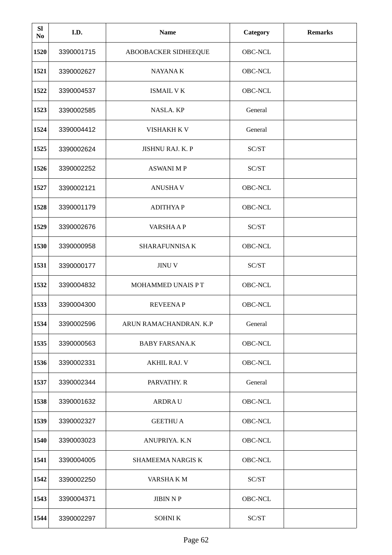| <b>SI</b><br>No | I.D.       | <b>Name</b>            | Category       | <b>Remarks</b> |
|-----------------|------------|------------------------|----------------|----------------|
| 1520            | 3390001715 | ABOOBACKER SIDHEEQUE   | OBC-NCL        |                |
| 1521            | 3390002627 | NAYANA K               | OBC-NCL        |                |
| 1522            | 3390004537 | <b>ISMAIL V K</b>      | OBC-NCL        |                |
| 1523            | 3390002585 | NASLA. KP              | General        |                |
| 1524            | 3390004412 | VISHAKH K V            | General        |                |
| 1525            | 3390002624 | JISHNU RAJ. K. P       | SC/ST          |                |
| 1526            | 3390002252 | <b>ASWANI MP</b>       | SC/ST          |                |
| 1527            | 3390002121 | <b>ANUSHAV</b>         | OBC-NCL        |                |
| 1528            | 3390001179 | <b>ADITHYAP</b>        | OBC-NCL        |                |
| 1529            | 3390002676 | <b>VARSHAAP</b>        | SC/ST          |                |
| 1530            | 3390000958 | <b>SHARAFUNNISA K</b>  | <b>OBC-NCL</b> |                |
| 1531            | 3390000177 | <b>JINUV</b>           | SC/ST          |                |
| 1532            | 3390004832 | MOHAMMED UNAIS PT      | OBC-NCL        |                |
| 1533            | 3390004300 | <b>REVEENAP</b>        | OBC-NCL        |                |
| 1534            | 3390002596 | ARUN RAMACHANDRAN, K.P | General        |                |
| 1535            | 3390000563 | <b>BABY FARSANA.K</b>  | OBC-NCL        |                |
| 1536            | 3390002331 | <b>AKHIL RAJ. V</b>    | OBC-NCL        |                |
| 1537            | 3390002344 | PARVATHY. R            | General        |                |
| 1538            | 3390001632 | <b>ARDRAU</b>          | OBC-NCL        |                |
| 1539            | 3390002327 | <b>GEETHU A</b>        | OBC-NCL        |                |
| 1540            | 3390003023 | ANUPRIYA. K.N          | OBC-NCL        |                |
| 1541            | 3390004005 | SHAMEEMA NARGIS K      | OBC-NCL        |                |
| 1542            | 3390002250 | VARSHAKM               | SC/ST          |                |
| 1543            | 3390004371 | <b>JIBIN N P</b>       | OBC-NCL        |                |
| 1544            | 3390002297 | SOHNI K                | SC/ST          |                |